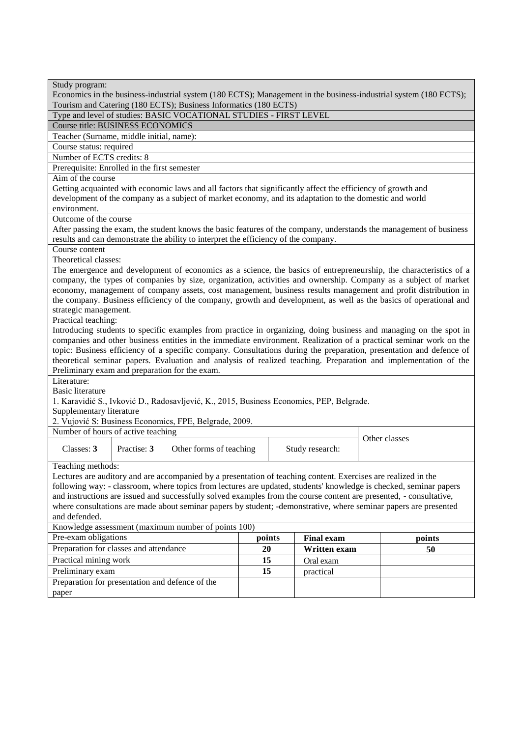| Study program:<br>Economics in the business-industrial system (180 ECTS); Management in the business-industrial system (180 ECTS);<br>Tourism and Catering (180 ECTS); Business Informatics (180 ECTS)                              |                                          |                                                                                                                     |    |  |                 |  |                                                                                                                                                                                                                                      |  |  |
|-------------------------------------------------------------------------------------------------------------------------------------------------------------------------------------------------------------------------------------|------------------------------------------|---------------------------------------------------------------------------------------------------------------------|----|--|-----------------|--|--------------------------------------------------------------------------------------------------------------------------------------------------------------------------------------------------------------------------------------|--|--|
| Type and level of studies: BASIC VOCATIONAL STUDIES - FIRST LEVEL                                                                                                                                                                   |                                          |                                                                                                                     |    |  |                 |  |                                                                                                                                                                                                                                      |  |  |
| <b>Course title: BUSINESS ECONOMICS</b>                                                                                                                                                                                             |                                          |                                                                                                                     |    |  |                 |  |                                                                                                                                                                                                                                      |  |  |
| Teacher (Surname, middle initial, name):                                                                                                                                                                                            |                                          |                                                                                                                     |    |  |                 |  |                                                                                                                                                                                                                                      |  |  |
| Course status: required                                                                                                                                                                                                             |                                          |                                                                                                                     |    |  |                 |  |                                                                                                                                                                                                                                      |  |  |
|                                                                                                                                                                                                                                     | Number of ECTS credits: 8                |                                                                                                                     |    |  |                 |  |                                                                                                                                                                                                                                      |  |  |
| Prerequisite: Enrolled in the first semester                                                                                                                                                                                        |                                          |                                                                                                                     |    |  |                 |  |                                                                                                                                                                                                                                      |  |  |
| Aim of the course                                                                                                                                                                                                                   |                                          |                                                                                                                     |    |  |                 |  |                                                                                                                                                                                                                                      |  |  |
|                                                                                                                                                                                                                                     |                                          | Getting acquainted with economic laws and all factors that significantly affect the efficiency of growth and        |    |  |                 |  |                                                                                                                                                                                                                                      |  |  |
|                                                                                                                                                                                                                                     |                                          | development of the company as a subject of market economy, and its adaptation to the domestic and world             |    |  |                 |  |                                                                                                                                                                                                                                      |  |  |
| environment.                                                                                                                                                                                                                        |                                          |                                                                                                                     |    |  |                 |  |                                                                                                                                                                                                                                      |  |  |
| Outcome of the course                                                                                                                                                                                                               |                                          |                                                                                                                     |    |  |                 |  |                                                                                                                                                                                                                                      |  |  |
|                                                                                                                                                                                                                                     |                                          |                                                                                                                     |    |  |                 |  | After passing the exam, the student knows the basic features of the company, understands the management of business                                                                                                                  |  |  |
|                                                                                                                                                                                                                                     |                                          | results and can demonstrate the ability to interpret the efficiency of the company.                                 |    |  |                 |  |                                                                                                                                                                                                                                      |  |  |
| Course content                                                                                                                                                                                                                      |                                          |                                                                                                                     |    |  |                 |  |                                                                                                                                                                                                                                      |  |  |
| Theoretical classes:                                                                                                                                                                                                                |                                          |                                                                                                                     |    |  |                 |  |                                                                                                                                                                                                                                      |  |  |
|                                                                                                                                                                                                                                     |                                          |                                                                                                                     |    |  |                 |  | The emergence and development of economics as a science, the basics of entrepreneurship, the characteristics of a<br>company, the types of companies by size, organization, activities and ownership. Company as a subject of market |  |  |
|                                                                                                                                                                                                                                     |                                          |                                                                                                                     |    |  |                 |  |                                                                                                                                                                                                                                      |  |  |
| economy, management of company assets, cost management, business results management and profit distribution in<br>the company. Business efficiency of the company, growth and development, as well as the basics of operational and |                                          |                                                                                                                     |    |  |                 |  |                                                                                                                                                                                                                                      |  |  |
| strategic management.                                                                                                                                                                                                               |                                          |                                                                                                                     |    |  |                 |  |                                                                                                                                                                                                                                      |  |  |
| Practical teaching:                                                                                                                                                                                                                 |                                          |                                                                                                                     |    |  |                 |  |                                                                                                                                                                                                                                      |  |  |
|                                                                                                                                                                                                                                     |                                          |                                                                                                                     |    |  |                 |  | Introducing students to specific examples from practice in organizing, doing business and managing on the spot in                                                                                                                    |  |  |
|                                                                                                                                                                                                                                     |                                          |                                                                                                                     |    |  |                 |  | companies and other business entities in the immediate environment. Realization of a practical seminar work on the                                                                                                                   |  |  |
|                                                                                                                                                                                                                                     |                                          |                                                                                                                     |    |  |                 |  | topic: Business efficiency of a specific company. Consultations during the preparation, presentation and defence of                                                                                                                  |  |  |
|                                                                                                                                                                                                                                     |                                          |                                                                                                                     |    |  |                 |  | theoretical seminar papers. Evaluation and analysis of realized teaching. Preparation and implementation of the                                                                                                                      |  |  |
|                                                                                                                                                                                                                                     |                                          | Preliminary exam and preparation for the exam.                                                                      |    |  |                 |  |                                                                                                                                                                                                                                      |  |  |
| Literature:                                                                                                                                                                                                                         |                                          |                                                                                                                     |    |  |                 |  |                                                                                                                                                                                                                                      |  |  |
| <b>Basic literature</b>                                                                                                                                                                                                             |                                          |                                                                                                                     |    |  |                 |  |                                                                                                                                                                                                                                      |  |  |
| Supplementary literature                                                                                                                                                                                                            |                                          | 1. Karavidić S., Ivković D., Radosavljević, K., 2015, Business Economics, PEP, Belgrade.                            |    |  |                 |  |                                                                                                                                                                                                                                      |  |  |
|                                                                                                                                                                                                                                     |                                          | 2. Vujović S: Business Economics, FPE, Belgrade, 2009.                                                              |    |  |                 |  |                                                                                                                                                                                                                                      |  |  |
| Number of hours of active teaching                                                                                                                                                                                                  |                                          |                                                                                                                     |    |  |                 |  |                                                                                                                                                                                                                                      |  |  |
|                                                                                                                                                                                                                                     |                                          |                                                                                                                     |    |  |                 |  | Other classes                                                                                                                                                                                                                        |  |  |
| Classes: 3                                                                                                                                                                                                                          | Practise: 3                              | Other forms of teaching                                                                                             |    |  | Study research: |  |                                                                                                                                                                                                                                      |  |  |
| Teaching methods:                                                                                                                                                                                                                   |                                          |                                                                                                                     |    |  |                 |  |                                                                                                                                                                                                                                      |  |  |
|                                                                                                                                                                                                                                     |                                          | Lectures are auditory and are accompanied by a presentation of teaching content. Exercises are realized in the      |    |  |                 |  |                                                                                                                                                                                                                                      |  |  |
|                                                                                                                                                                                                                                     |                                          |                                                                                                                     |    |  |                 |  | following way: - classroom, where topics from lectures are updated, students' knowledge is checked, seminar papers                                                                                                                   |  |  |
|                                                                                                                                                                                                                                     |                                          | and instructions are issued and successfully solved examples from the course content are presented, - consultative, |    |  |                 |  |                                                                                                                                                                                                                                      |  |  |
|                                                                                                                                                                                                                                     |                                          |                                                                                                                     |    |  |                 |  |                                                                                                                                                                                                                                      |  |  |
| where consultations are made about seminar papers by student; -demonstrative, where seminar papers are presented<br>and defended.                                                                                                   |                                          |                                                                                                                     |    |  |                 |  |                                                                                                                                                                                                                                      |  |  |
| Knowledge assessment (maximum number of points 100)                                                                                                                                                                                 |                                          |                                                                                                                     |    |  |                 |  |                                                                                                                                                                                                                                      |  |  |
| Pre-exam obligations<br>points<br><b>Final exam</b><br>points                                                                                                                                                                       |                                          |                                                                                                                     |    |  |                 |  |                                                                                                                                                                                                                                      |  |  |
| Preparation for classes and attendance<br>20<br>Written exam<br>50                                                                                                                                                                  |                                          |                                                                                                                     |    |  |                 |  |                                                                                                                                                                                                                                      |  |  |
|                                                                                                                                                                                                                                     | Practical mining work<br>15<br>Oral exam |                                                                                                                     |    |  |                 |  |                                                                                                                                                                                                                                      |  |  |
| Preliminary exam                                                                                                                                                                                                                    |                                          |                                                                                                                     | 15 |  | practical       |  |                                                                                                                                                                                                                                      |  |  |
| Preparation for presentation and defence of the                                                                                                                                                                                     |                                          |                                                                                                                     |    |  |                 |  |                                                                                                                                                                                                                                      |  |  |
| paper                                                                                                                                                                                                                               |                                          |                                                                                                                     |    |  |                 |  |                                                                                                                                                                                                                                      |  |  |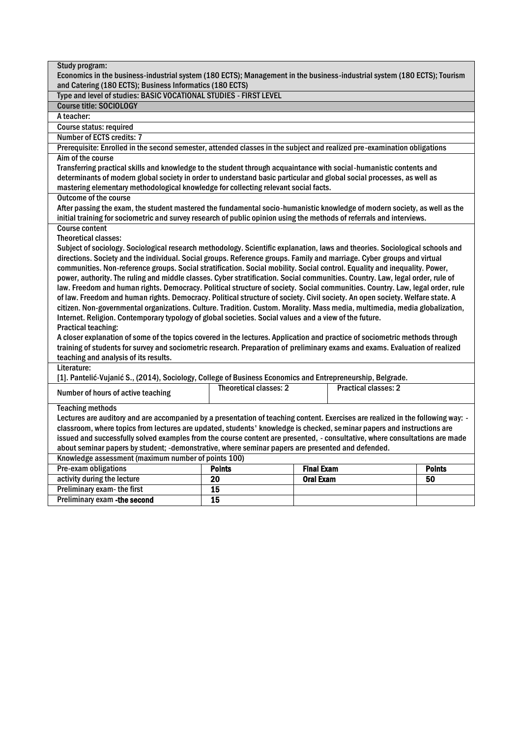| Study program:                                                                                                                                                                                                                                            |                                                                                                                              |                   |                             |               |  |  |  |  |  |
|-----------------------------------------------------------------------------------------------------------------------------------------------------------------------------------------------------------------------------------------------------------|------------------------------------------------------------------------------------------------------------------------------|-------------------|-----------------------------|---------------|--|--|--|--|--|
| Economics in the business-industrial system (180 ECTS); Management in the business-industrial system (180 ECTS); Tourism                                                                                                                                  |                                                                                                                              |                   |                             |               |  |  |  |  |  |
| and Catering (180 ECTS); Business Informatics (180 ECTS)                                                                                                                                                                                                  |                                                                                                                              |                   |                             |               |  |  |  |  |  |
| Type and level of studies: BASIC VOCATIONAL STUDIES - FIRST LEVEL                                                                                                                                                                                         |                                                                                                                              |                   |                             |               |  |  |  |  |  |
| <b>Course title: SOCIOLOGY</b>                                                                                                                                                                                                                            |                                                                                                                              |                   |                             |               |  |  |  |  |  |
| A teacher:                                                                                                                                                                                                                                                |                                                                                                                              |                   |                             |               |  |  |  |  |  |
| Course status: required                                                                                                                                                                                                                                   |                                                                                                                              |                   |                             |               |  |  |  |  |  |
| Number of ECTS credits: 7                                                                                                                                                                                                                                 |                                                                                                                              |                   |                             |               |  |  |  |  |  |
| Prerequisite: Enrolled in the second semester, attended classes in the subject and realized pre-examination obligations                                                                                                                                   |                                                                                                                              |                   |                             |               |  |  |  |  |  |
| Aim of the course                                                                                                                                                                                                                                         |                                                                                                                              |                   |                             |               |  |  |  |  |  |
| Transferring practical skills and knowledge to the student through acquaintance with social-humanistic contents and                                                                                                                                       |                                                                                                                              |                   |                             |               |  |  |  |  |  |
| determinants of modern global society in order to understand basic particular and global social processes, as well as                                                                                                                                     |                                                                                                                              |                   |                             |               |  |  |  |  |  |
| mastering elementary methodological knowledge for collecting relevant social facts.                                                                                                                                                                       |                                                                                                                              |                   |                             |               |  |  |  |  |  |
| <b>Outcome of the course</b>                                                                                                                                                                                                                              |                                                                                                                              |                   |                             |               |  |  |  |  |  |
| After passing the exam, the student mastered the fundamental socio-humanistic knowledge of modern society, as well as the                                                                                                                                 |                                                                                                                              |                   |                             |               |  |  |  |  |  |
| initial training for sociometric and survey research of public opinion using the methods of referrals and interviews.                                                                                                                                     |                                                                                                                              |                   |                             |               |  |  |  |  |  |
| <b>Course content</b>                                                                                                                                                                                                                                     |                                                                                                                              |                   |                             |               |  |  |  |  |  |
| <b>Theoretical classes:</b>                                                                                                                                                                                                                               |                                                                                                                              |                   |                             |               |  |  |  |  |  |
|                                                                                                                                                                                                                                                           | Subject of sociology. Sociological research methodology. Scientific explanation, laws and theories. Sociological schools and |                   |                             |               |  |  |  |  |  |
|                                                                                                                                                                                                                                                           | directions. Society and the individual. Social groups. Reference groups. Family and marriage. Cyber groups and virtual       |                   |                             |               |  |  |  |  |  |
| communities. Non-reference groups. Social stratification. Social mobility. Social control. Equality and inequality. Power,                                                                                                                                |                                                                                                                              |                   |                             |               |  |  |  |  |  |
| power, authority. The ruling and middle classes. Cyber stratification. Social communities. Country. Law, legal order, rule of                                                                                                                             |                                                                                                                              |                   |                             |               |  |  |  |  |  |
| law. Freedom and human rights. Democracy. Political structure of society. Social communities. Country. Law, legal order, rule                                                                                                                             |                                                                                                                              |                   |                             |               |  |  |  |  |  |
| of law. Freedom and human rights. Democracy. Political structure of society. Civil society. An open society. Welfare state. A                                                                                                                             |                                                                                                                              |                   |                             |               |  |  |  |  |  |
| citizen. Non-governmental organizations. Culture. Tradition. Custom. Morality. Mass media, multimedia, media globalization,                                                                                                                               |                                                                                                                              |                   |                             |               |  |  |  |  |  |
| Internet. Religion. Contemporary typology of global societies. Social values and a view of the future.                                                                                                                                                    |                                                                                                                              |                   |                             |               |  |  |  |  |  |
| Practical teaching:                                                                                                                                                                                                                                       |                                                                                                                              |                   |                             |               |  |  |  |  |  |
| A closer explanation of some of the topics covered in the lectures. Application and practice of sociometric methods through                                                                                                                               |                                                                                                                              |                   |                             |               |  |  |  |  |  |
| training of students for survey and sociometric research. Preparation of preliminary exams and exams. Evaluation of realized                                                                                                                              |                                                                                                                              |                   |                             |               |  |  |  |  |  |
| teaching and analysis of its results.                                                                                                                                                                                                                     |                                                                                                                              |                   |                             |               |  |  |  |  |  |
| Literature:                                                                                                                                                                                                                                               |                                                                                                                              |                   |                             |               |  |  |  |  |  |
| [1]. Pantelić-Vujanić S., (2014), Sociology, College of Business Economics and Entrepreneurship, Belgrade.                                                                                                                                                |                                                                                                                              |                   |                             |               |  |  |  |  |  |
| Number of hours of active teaching                                                                                                                                                                                                                        | Theoretical classes: 2                                                                                                       |                   | <b>Practical classes: 2</b> |               |  |  |  |  |  |
| <b>Teaching methods</b>                                                                                                                                                                                                                                   |                                                                                                                              |                   |                             |               |  |  |  |  |  |
|                                                                                                                                                                                                                                                           |                                                                                                                              |                   |                             |               |  |  |  |  |  |
| Lectures are auditory and are accompanied by a presentation of teaching content. Exercises are realized in the following way: -<br>classroom, where topics from lectures are updated, students' knowledge is checked, seminar papers and instructions are |                                                                                                                              |                   |                             |               |  |  |  |  |  |
| issued and successfully solved examples from the course content are presented, - consultative, where consultations are made                                                                                                                               |                                                                                                                              |                   |                             |               |  |  |  |  |  |
| about seminar papers by student; -demonstrative, where seminar papers are presented and defended.                                                                                                                                                         |                                                                                                                              |                   |                             |               |  |  |  |  |  |
| Knowledge assessment (maximum number of points 100)                                                                                                                                                                                                       |                                                                                                                              |                   |                             |               |  |  |  |  |  |
| Pre-exam obligations                                                                                                                                                                                                                                      | <b>Points</b>                                                                                                                | <b>Final Exam</b> |                             | <b>Points</b> |  |  |  |  |  |
| activity during the lecture                                                                                                                                                                                                                               | $\overline{20}$                                                                                                              | <b>Oral Exam</b>  |                             | 50            |  |  |  |  |  |
| Preliminary exam-the first                                                                                                                                                                                                                                | 15                                                                                                                           |                   |                             |               |  |  |  |  |  |
| Preliminary exam - the second                                                                                                                                                                                                                             | 15                                                                                                                           |                   |                             |               |  |  |  |  |  |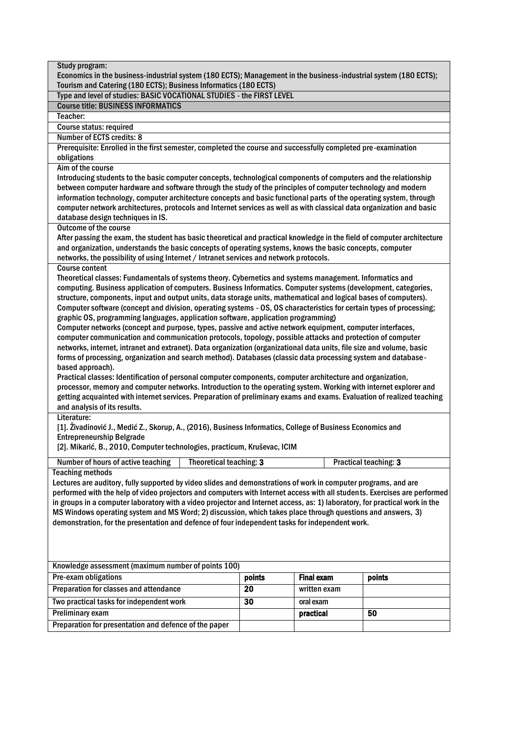| Study program:                                                                                                                                             |                 |                   |                       |  |  |  |  |
|------------------------------------------------------------------------------------------------------------------------------------------------------------|-----------------|-------------------|-----------------------|--|--|--|--|
| Economics in the business-industrial system (180 ECTS); Management in the business-industrial system (180 ECTS);                                           |                 |                   |                       |  |  |  |  |
| Tourism and Catering (180 ECTS); Business Informatics (180 ECTS)                                                                                           |                 |                   |                       |  |  |  |  |
| Type and level of studies: BASIC VOCATIONAL STUDIES - the FIRST LEVEL                                                                                      |                 |                   |                       |  |  |  |  |
| <b>Course title: BUSINESS INFORMATICS</b>                                                                                                                  |                 |                   |                       |  |  |  |  |
| Teacher:                                                                                                                                                   |                 |                   |                       |  |  |  |  |
| Course status: required                                                                                                                                    |                 |                   |                       |  |  |  |  |
| Number of ECTS credits: 8                                                                                                                                  |                 |                   |                       |  |  |  |  |
| Prerequisite: Enrolled in the first semester, completed the course and successfully completed pre-examination                                              |                 |                   |                       |  |  |  |  |
| obligations                                                                                                                                                |                 |                   |                       |  |  |  |  |
| Aim of the course                                                                                                                                          |                 |                   |                       |  |  |  |  |
| Introducing students to the basic computer concepts, technological components of computers and the relationship                                            |                 |                   |                       |  |  |  |  |
| between computer hardware and software through the study of the principles of computer technology and modern                                               |                 |                   |                       |  |  |  |  |
| information technology, computer architecture concepts and basic functional parts of the operating system, through                                         |                 |                   |                       |  |  |  |  |
| computer network architectures, protocols and Internet services as well as with classical data organization and basic<br>database design techniques in IS. |                 |                   |                       |  |  |  |  |
| <b>Outcome of the course</b>                                                                                                                               |                 |                   |                       |  |  |  |  |
| After passing the exam, the student has basic theoretical and practical knowledge in the field of computer architecture                                    |                 |                   |                       |  |  |  |  |
| and organization, understands the basic concepts of operating systems, knows the basic concepts, computer                                                  |                 |                   |                       |  |  |  |  |
| networks, the possibility of using Internet / Intranet services and network protocols.                                                                     |                 |                   |                       |  |  |  |  |
| <b>Course content</b>                                                                                                                                      |                 |                   |                       |  |  |  |  |
| Theoretical classes: Fundamentals of systems theory. Cybernetics and systems management. Informatics and                                                   |                 |                   |                       |  |  |  |  |
| computing. Business application of computers. Business Informatics. Computer systems (development, categories,                                             |                 |                   |                       |  |  |  |  |
| structure, components, input and output units, data storage units, mathematical and logical bases of computers).                                           |                 |                   |                       |  |  |  |  |
| Computer software (concept and division, operating systems - OS, OS characteristics for certain types of processing;                                       |                 |                   |                       |  |  |  |  |
| graphic OS, programming languages, application software, application programming)                                                                          |                 |                   |                       |  |  |  |  |
| Computer networks (concept and purpose, types, passive and active network equipment, computer interfaces,                                                  |                 |                   |                       |  |  |  |  |
| computer communication and communication protocols, topology, possible attacks and protection of computer                                                  |                 |                   |                       |  |  |  |  |
| networks, internet, intranet and extranet). Data organization (organizational data units, file size and volume, basic                                      |                 |                   |                       |  |  |  |  |
| forms of processing, organization and search method). Databases (classic data processing system and database -                                             |                 |                   |                       |  |  |  |  |
| based approach).                                                                                                                                           |                 |                   |                       |  |  |  |  |
| Practical classes: Identification of personal computer components, computer architecture and organization,                                                 |                 |                   |                       |  |  |  |  |
| processor, memory and computer networks. Introduction to the operating system. Working with internet explorer and                                          |                 |                   |                       |  |  |  |  |
| getting acquainted with internet services. Preparation of preliminary exams and exams. Evaluation of realized teaching                                     |                 |                   |                       |  |  |  |  |
| and analysis of its results.                                                                                                                               |                 |                   |                       |  |  |  |  |
| Literature:                                                                                                                                                |                 |                   |                       |  |  |  |  |
| [1]. Živadinović J., Medić Z., Skorup, A., (2016), Business Informatics, College of Business Economics and                                                 |                 |                   |                       |  |  |  |  |
| <b>Entrepreneurship Belgrade</b>                                                                                                                           |                 |                   |                       |  |  |  |  |
| [2]. Mikarić, B., 2010, Computer technologies, practicum, Kruševac, ICIM                                                                                   |                 |                   |                       |  |  |  |  |
| Theoretical teaching: 3<br>Number of hours of active teaching                                                                                              |                 |                   | Practical teaching: 3 |  |  |  |  |
| <b>Teaching methods</b>                                                                                                                                    |                 |                   |                       |  |  |  |  |
| Lectures are auditory, fully supported by video slides and demonstrations of work in computer programs, and are                                            |                 |                   |                       |  |  |  |  |
| performed with the help of video projectors and computers with Internet access with all students. Exercises are performed                                  |                 |                   |                       |  |  |  |  |
| in groups in a computer laboratory with a video projector and Internet access, as: 1) laboratory, for practical work in the                                |                 |                   |                       |  |  |  |  |
| MS Windows operating system and MS Word; 2) discussion, which takes place through questions and answers, 3)                                                |                 |                   |                       |  |  |  |  |
| demonstration, for the presentation and defence of four independent tasks for independent work.                                                            |                 |                   |                       |  |  |  |  |
|                                                                                                                                                            |                 |                   |                       |  |  |  |  |
|                                                                                                                                                            |                 |                   |                       |  |  |  |  |
|                                                                                                                                                            |                 |                   |                       |  |  |  |  |
| Knowledge assessment (maximum number of points 100)                                                                                                        |                 |                   |                       |  |  |  |  |
| Pre-exam obligations                                                                                                                                       | points          | <b>Final exam</b> | points                |  |  |  |  |
| Preparation for classes and attendance                                                                                                                     | 20              | written exam      |                       |  |  |  |  |
| Two practical tasks for independent work                                                                                                                   | $\overline{30}$ | oral exam         |                       |  |  |  |  |
|                                                                                                                                                            |                 |                   |                       |  |  |  |  |
| Preliminary exam                                                                                                                                           |                 | practical         | 50                    |  |  |  |  |
| Preparation for presentation and defence of the paper                                                                                                      |                 |                   |                       |  |  |  |  |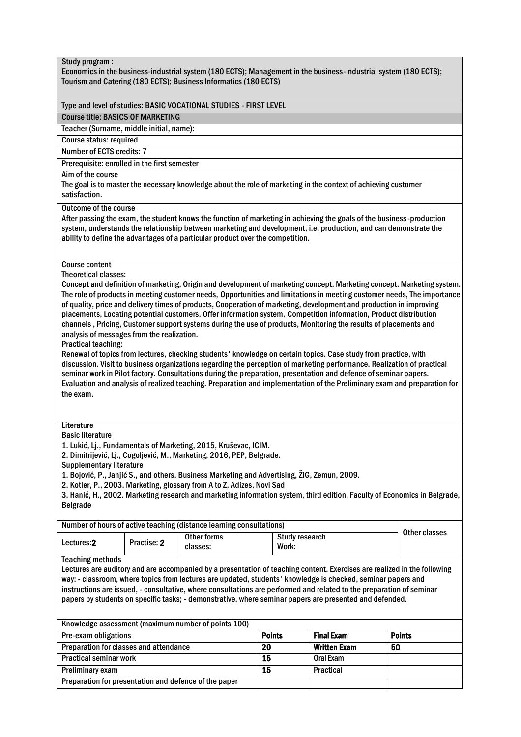| Study program:<br>Economics in the business-industrial system (180 ECTS); Management in the business-industrial system (180 ECTS);<br>Tourism and Catering (180 ECTS); Business Informatics (180 ECTS)                                                                                                                                                                                                                                                                                                                                                                                                                                                                                                                                                                                                                                                                                                                                                                                                                                                                                                                                                                                                                                                           |                                                                                                                                                                                                                                                                                                                                                                                                                                                                                    |                                                                      |               |                                |                     |    |               |  |
|------------------------------------------------------------------------------------------------------------------------------------------------------------------------------------------------------------------------------------------------------------------------------------------------------------------------------------------------------------------------------------------------------------------------------------------------------------------------------------------------------------------------------------------------------------------------------------------------------------------------------------------------------------------------------------------------------------------------------------------------------------------------------------------------------------------------------------------------------------------------------------------------------------------------------------------------------------------------------------------------------------------------------------------------------------------------------------------------------------------------------------------------------------------------------------------------------------------------------------------------------------------|------------------------------------------------------------------------------------------------------------------------------------------------------------------------------------------------------------------------------------------------------------------------------------------------------------------------------------------------------------------------------------------------------------------------------------------------------------------------------------|----------------------------------------------------------------------|---------------|--------------------------------|---------------------|----|---------------|--|
| Type and level of studies: BASIC VOCATIONAL STUDIES - FIRST LEVEL                                                                                                                                                                                                                                                                                                                                                                                                                                                                                                                                                                                                                                                                                                                                                                                                                                                                                                                                                                                                                                                                                                                                                                                                |                                                                                                                                                                                                                                                                                                                                                                                                                                                                                    |                                                                      |               |                                |                     |    |               |  |
| <b>Course title: BASICS OF MARKETING</b>                                                                                                                                                                                                                                                                                                                                                                                                                                                                                                                                                                                                                                                                                                                                                                                                                                                                                                                                                                                                                                                                                                                                                                                                                         |                                                                                                                                                                                                                                                                                                                                                                                                                                                                                    |                                                                      |               |                                |                     |    |               |  |
| Teacher (Surname, middle initial, name):                                                                                                                                                                                                                                                                                                                                                                                                                                                                                                                                                                                                                                                                                                                                                                                                                                                                                                                                                                                                                                                                                                                                                                                                                         |                                                                                                                                                                                                                                                                                                                                                                                                                                                                                    |                                                                      |               |                                |                     |    |               |  |
| <b>Course status: required</b>                                                                                                                                                                                                                                                                                                                                                                                                                                                                                                                                                                                                                                                                                                                                                                                                                                                                                                                                                                                                                                                                                                                                                                                                                                   |                                                                                                                                                                                                                                                                                                                                                                                                                                                                                    |                                                                      |               |                                |                     |    |               |  |
| Number of ECTS credits: 7                                                                                                                                                                                                                                                                                                                                                                                                                                                                                                                                                                                                                                                                                                                                                                                                                                                                                                                                                                                                                                                                                                                                                                                                                                        |                                                                                                                                                                                                                                                                                                                                                                                                                                                                                    |                                                                      |               |                                |                     |    |               |  |
| Prerequisite: enrolled in the first semester                                                                                                                                                                                                                                                                                                                                                                                                                                                                                                                                                                                                                                                                                                                                                                                                                                                                                                                                                                                                                                                                                                                                                                                                                     |                                                                                                                                                                                                                                                                                                                                                                                                                                                                                    |                                                                      |               |                                |                     |    |               |  |
| Aim of the course<br>The goal is to master the necessary knowledge about the role of marketing in the context of achieving customer<br>satisfaction.                                                                                                                                                                                                                                                                                                                                                                                                                                                                                                                                                                                                                                                                                                                                                                                                                                                                                                                                                                                                                                                                                                             |                                                                                                                                                                                                                                                                                                                                                                                                                                                                                    |                                                                      |               |                                |                     |    |               |  |
| <b>Outcome of the course</b><br>After passing the exam, the student knows the function of marketing in achieving the goals of the business-production<br>system, understands the relationship between marketing and development, i.e. production, and can demonstrate the<br>ability to define the advantages of a particular product over the competition.                                                                                                                                                                                                                                                                                                                                                                                                                                                                                                                                                                                                                                                                                                                                                                                                                                                                                                      |                                                                                                                                                                                                                                                                                                                                                                                                                                                                                    |                                                                      |               |                                |                     |    |               |  |
| <b>Course content</b><br><b>Theoretical classes:</b><br>Concept and definition of marketing, Origin and development of marketing concept, Marketing concept. Marketing system.<br>The role of products in meeting customer needs, Opportunities and limitations in meeting customer needs, The importance<br>of quality, price and delivery times of products, Cooperation of marketing, development and production in improving<br>placements, Locating potential customers, Offer information system, Competition information, Product distribution<br>channels, Pricing, Customer support systems during the use of products, Monitoring the results of placements and<br>analysis of messages from the realization.<br><b>Practical teaching:</b><br>Renewal of topics from lectures, checking students' knowledge on certain topics. Case study from practice, with<br>discussion. Visit to business organizations regarding the perception of marketing performance. Realization of practical<br>seminar work in Pilot factory. Consultations during the preparation, presentation and defence of seminar papers.<br>Evaluation and analysis of realized teaching. Preparation and implementation of the Preliminary exam and preparation for<br>the exam. |                                                                                                                                                                                                                                                                                                                                                                                                                                                                                    |                                                                      |               |                                |                     |    |               |  |
| Literature<br><b>Basic literature</b><br><b>Belgrade</b>                                                                                                                                                                                                                                                                                                                                                                                                                                                                                                                                                                                                                                                                                                                                                                                                                                                                                                                                                                                                                                                                                                                                                                                                         | 1. Lukić, Lj., Fundamentals of Marketing, 2015, Kruševac, ICIM.<br>2. Dimitrijević, Lj., Cogoljević, M., Marketing, 2016, PEP, Belgrade.<br><b>Supplementary literature</b><br>1. Bojović, P., Janjić S., and others, Business Marketing and Advertising, 21G, Zemun, 2009.<br>2. Kotler, P., 2003. Marketing, glossary from A to Z, Adizes, Novi Sad<br>3. Hanić, H., 2002. Marketing research and marketing information system, third edition, Faculty of Economics in Belgrade, |                                                                      |               |                                |                     |    |               |  |
|                                                                                                                                                                                                                                                                                                                                                                                                                                                                                                                                                                                                                                                                                                                                                                                                                                                                                                                                                                                                                                                                                                                                                                                                                                                                  |                                                                                                                                                                                                                                                                                                                                                                                                                                                                                    | Number of hours of active teaching (distance learning consultations) |               |                                |                     |    |               |  |
| Lectures:2                                                                                                                                                                                                                                                                                                                                                                                                                                                                                                                                                                                                                                                                                                                                                                                                                                                                                                                                                                                                                                                                                                                                                                                                                                                       | Practise: 2                                                                                                                                                                                                                                                                                                                                                                                                                                                                        | <b>Other forms</b><br>classes:                                       |               | <b>Study research</b><br>Work: |                     |    | Other classes |  |
| <b>Teaching methods</b><br>Lectures are auditory and are accompanied by a presentation of teaching content. Exercises are realized in the following<br>way: - classroom, where topics from lectures are updated, students' knowledge is checked, seminar papers and<br>instructions are issued, - consultative, where consultations are performed and related to the preparation of seminar<br>papers by students on specific tasks; - demonstrative, where seminar papers are presented and defended.                                                                                                                                                                                                                                                                                                                                                                                                                                                                                                                                                                                                                                                                                                                                                           |                                                                                                                                                                                                                                                                                                                                                                                                                                                                                    |                                                                      |               |                                |                     |    |               |  |
|                                                                                                                                                                                                                                                                                                                                                                                                                                                                                                                                                                                                                                                                                                                                                                                                                                                                                                                                                                                                                                                                                                                                                                                                                                                                  |                                                                                                                                                                                                                                                                                                                                                                                                                                                                                    |                                                                      |               |                                |                     |    |               |  |
|                                                                                                                                                                                                                                                                                                                                                                                                                                                                                                                                                                                                                                                                                                                                                                                                                                                                                                                                                                                                                                                                                                                                                                                                                                                                  |                                                                                                                                                                                                                                                                                                                                                                                                                                                                                    | Knowledge assessment (maximum number of points 100)                  |               |                                |                     |    |               |  |
| Pre-exam obligations                                                                                                                                                                                                                                                                                                                                                                                                                                                                                                                                                                                                                                                                                                                                                                                                                                                                                                                                                                                                                                                                                                                                                                                                                                             |                                                                                                                                                                                                                                                                                                                                                                                                                                                                                    |                                                                      | <b>Points</b> |                                | <b>Final Exam</b>   |    | <b>Points</b> |  |
| Preparation for classes and attendance                                                                                                                                                                                                                                                                                                                                                                                                                                                                                                                                                                                                                                                                                                                                                                                                                                                                                                                                                                                                                                                                                                                                                                                                                           |                                                                                                                                                                                                                                                                                                                                                                                                                                                                                    |                                                                      | 20            |                                | <b>Written Exam</b> | 50 |               |  |
| <b>Practical seminar work</b>                                                                                                                                                                                                                                                                                                                                                                                                                                                                                                                                                                                                                                                                                                                                                                                                                                                                                                                                                                                                                                                                                                                                                                                                                                    |                                                                                                                                                                                                                                                                                                                                                                                                                                                                                    |                                                                      | 15            |                                | Oral Exam           |    |               |  |
| Preliminary exam                                                                                                                                                                                                                                                                                                                                                                                                                                                                                                                                                                                                                                                                                                                                                                                                                                                                                                                                                                                                                                                                                                                                                                                                                                                 |                                                                                                                                                                                                                                                                                                                                                                                                                                                                                    |                                                                      | 15            |                                | Practical           |    |               |  |
| Preparation for presentation and defence of the paper                                                                                                                                                                                                                                                                                                                                                                                                                                                                                                                                                                                                                                                                                                                                                                                                                                                                                                                                                                                                                                                                                                                                                                                                            |                                                                                                                                                                                                                                                                                                                                                                                                                                                                                    |                                                                      |               |                                |                     |    |               |  |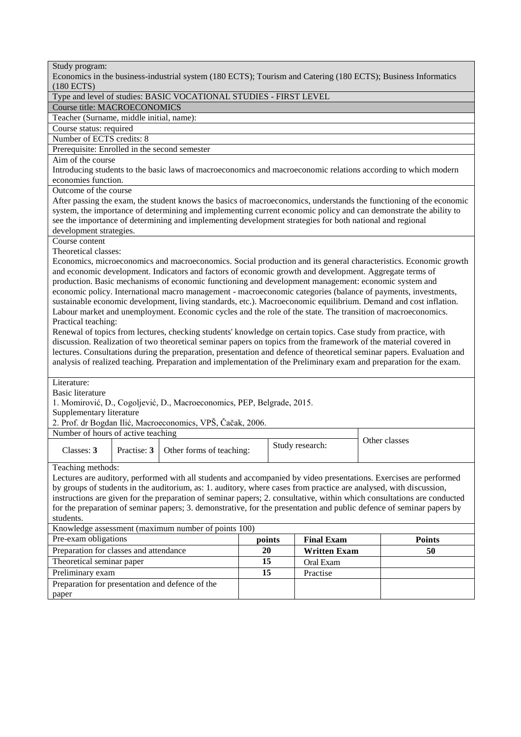| Study program:<br>Economics in the business-industrial system (180 ECTS); Tourism and Catering (180 ECTS); Business Informatics                                                                                                  |                                                                      |                                                                                                                                                                                                                                      |    |  |                     |  |                                                                                                                        |  |  |
|----------------------------------------------------------------------------------------------------------------------------------------------------------------------------------------------------------------------------------|----------------------------------------------------------------------|--------------------------------------------------------------------------------------------------------------------------------------------------------------------------------------------------------------------------------------|----|--|---------------------|--|------------------------------------------------------------------------------------------------------------------------|--|--|
| $(180$ ECTS)                                                                                                                                                                                                                     |                                                                      |                                                                                                                                                                                                                                      |    |  |                     |  |                                                                                                                        |  |  |
| Type and level of studies: BASIC VOCATIONAL STUDIES - FIRST LEVEL                                                                                                                                                                |                                                                      |                                                                                                                                                                                                                                      |    |  |                     |  |                                                                                                                        |  |  |
| Course title: MACROECONOMICS                                                                                                                                                                                                     |                                                                      |                                                                                                                                                                                                                                      |    |  |                     |  |                                                                                                                        |  |  |
| Teacher (Surname, middle initial, name):                                                                                                                                                                                         |                                                                      |                                                                                                                                                                                                                                      |    |  |                     |  |                                                                                                                        |  |  |
|                                                                                                                                                                                                                                  | Course status: required                                              |                                                                                                                                                                                                                                      |    |  |                     |  |                                                                                                                        |  |  |
| Number of ECTS credits: 8                                                                                                                                                                                                        |                                                                      |                                                                                                                                                                                                                                      |    |  |                     |  |                                                                                                                        |  |  |
| Prerequisite: Enrolled in the second semester                                                                                                                                                                                    |                                                                      |                                                                                                                                                                                                                                      |    |  |                     |  |                                                                                                                        |  |  |
| Aim of the course                                                                                                                                                                                                                |                                                                      |                                                                                                                                                                                                                                      |    |  |                     |  |                                                                                                                        |  |  |
| Introducing students to the basic laws of macroeconomics and macroeconomic relations according to which modern                                                                                                                   |                                                                      |                                                                                                                                                                                                                                      |    |  |                     |  |                                                                                                                        |  |  |
| economies function.                                                                                                                                                                                                              |                                                                      |                                                                                                                                                                                                                                      |    |  |                     |  |                                                                                                                        |  |  |
| Outcome of the course                                                                                                                                                                                                            |                                                                      |                                                                                                                                                                                                                                      |    |  |                     |  |                                                                                                                        |  |  |
|                                                                                                                                                                                                                                  |                                                                      |                                                                                                                                                                                                                                      |    |  |                     |  | After passing the exam, the student knows the basics of macroeconomics, understands the functioning of the economic    |  |  |
|                                                                                                                                                                                                                                  |                                                                      |                                                                                                                                                                                                                                      |    |  |                     |  | system, the importance of determining and implementing current economic policy and can demonstrate the ability to      |  |  |
|                                                                                                                                                                                                                                  |                                                                      | see the importance of determining and implementing development strategies for both national and regional                                                                                                                             |    |  |                     |  |                                                                                                                        |  |  |
| development strategies.                                                                                                                                                                                                          |                                                                      |                                                                                                                                                                                                                                      |    |  |                     |  |                                                                                                                        |  |  |
| Course content                                                                                                                                                                                                                   |                                                                      |                                                                                                                                                                                                                                      |    |  |                     |  |                                                                                                                        |  |  |
| Theoretical classes:                                                                                                                                                                                                             |                                                                      |                                                                                                                                                                                                                                      |    |  |                     |  |                                                                                                                        |  |  |
|                                                                                                                                                                                                                                  |                                                                      |                                                                                                                                                                                                                                      |    |  |                     |  | Economics, microeconomics and macroeconomics. Social production and its general characteristics. Economic growth       |  |  |
|                                                                                                                                                                                                                                  |                                                                      | and economic development. Indicators and factors of economic growth and development. Aggregate terms of                                                                                                                              |    |  |                     |  |                                                                                                                        |  |  |
|                                                                                                                                                                                                                                  |                                                                      | production. Basic mechanisms of economic functioning and development management: economic system and                                                                                                                                 |    |  |                     |  |                                                                                                                        |  |  |
|                                                                                                                                                                                                                                  |                                                                      | economic policy. International macro management - macroeconomic categories (balance of payments, investments,                                                                                                                        |    |  |                     |  |                                                                                                                        |  |  |
| sustainable economic development, living standards, etc.). Macroeconomic equilibrium. Demand and cost inflation.<br>Labour market and unemployment. Economic cycles and the role of the state. The transition of macroeconomics. |                                                                      |                                                                                                                                                                                                                                      |    |  |                     |  |                                                                                                                        |  |  |
|                                                                                                                                                                                                                                  |                                                                      |                                                                                                                                                                                                                                      |    |  |                     |  |                                                                                                                        |  |  |
| Practical teaching:                                                                                                                                                                                                              |                                                                      |                                                                                                                                                                                                                                      |    |  |                     |  |                                                                                                                        |  |  |
|                                                                                                                                                                                                                                  |                                                                      | Renewal of topics from lectures, checking students' knowledge on certain topics. Case study from practice, with<br>discussion. Realization of two theoretical seminar papers on topics from the framework of the material covered in |    |  |                     |  |                                                                                                                        |  |  |
|                                                                                                                                                                                                                                  |                                                                      |                                                                                                                                                                                                                                      |    |  |                     |  | lectures. Consultations during the preparation, presentation and defence of theoretical seminar papers. Evaluation and |  |  |
|                                                                                                                                                                                                                                  |                                                                      |                                                                                                                                                                                                                                      |    |  |                     |  | analysis of realized teaching. Preparation and implementation of the Preliminary exam and preparation for the exam.    |  |  |
|                                                                                                                                                                                                                                  |                                                                      |                                                                                                                                                                                                                                      |    |  |                     |  |                                                                                                                        |  |  |
| Literature:                                                                                                                                                                                                                      |                                                                      |                                                                                                                                                                                                                                      |    |  |                     |  |                                                                                                                        |  |  |
| <b>Basic literature</b>                                                                                                                                                                                                          |                                                                      |                                                                                                                                                                                                                                      |    |  |                     |  |                                                                                                                        |  |  |
|                                                                                                                                                                                                                                  |                                                                      | 1. Momirović, D., Cogoljević, D., Macroeconomics, PEP, Belgrade, 2015.                                                                                                                                                               |    |  |                     |  |                                                                                                                        |  |  |
| Supplementary literature                                                                                                                                                                                                         |                                                                      |                                                                                                                                                                                                                                      |    |  |                     |  |                                                                                                                        |  |  |
|                                                                                                                                                                                                                                  |                                                                      | 2. Prof. dr Bogdan Ilić, Macroeconomics, VPŠ, Čačak, 2006.                                                                                                                                                                           |    |  |                     |  |                                                                                                                        |  |  |
| Number of hours of active teaching                                                                                                                                                                                               |                                                                      |                                                                                                                                                                                                                                      |    |  |                     |  |                                                                                                                        |  |  |
|                                                                                                                                                                                                                                  |                                                                      |                                                                                                                                                                                                                                      |    |  | Study research:     |  | Other classes                                                                                                          |  |  |
| Classes: 3                                                                                                                                                                                                                       |                                                                      | Practise: 3 Other forms of teaching:                                                                                                                                                                                                 |    |  |                     |  |                                                                                                                        |  |  |
|                                                                                                                                                                                                                                  |                                                                      |                                                                                                                                                                                                                                      |    |  |                     |  |                                                                                                                        |  |  |
| Teaching methods:                                                                                                                                                                                                                |                                                                      |                                                                                                                                                                                                                                      |    |  |                     |  |                                                                                                                        |  |  |
|                                                                                                                                                                                                                                  |                                                                      |                                                                                                                                                                                                                                      |    |  |                     |  | Lectures are auditory, performed with all students and accompanied by video presentations. Exercises are performed     |  |  |
|                                                                                                                                                                                                                                  |                                                                      | by groups of students in the auditorium, as: 1. auditory, where cases from practice are analysed, with discussion,                                                                                                                   |    |  |                     |  |                                                                                                                        |  |  |
| instructions are given for the preparation of seminar papers; 2. consultative, within which consultations are conducted                                                                                                          |                                                                      |                                                                                                                                                                                                                                      |    |  |                     |  |                                                                                                                        |  |  |
| for the preparation of seminar papers; 3. demonstrative, for the presentation and public defence of seminar papers by                                                                                                            |                                                                      |                                                                                                                                                                                                                                      |    |  |                     |  |                                                                                                                        |  |  |
| students.                                                                                                                                                                                                                        |                                                                      |                                                                                                                                                                                                                                      |    |  |                     |  |                                                                                                                        |  |  |
| Knowledge assessment (maximum number of points 100)                                                                                                                                                                              |                                                                      |                                                                                                                                                                                                                                      |    |  |                     |  |                                                                                                                        |  |  |
|                                                                                                                                                                                                                                  | Pre-exam obligations<br><b>Final Exam</b><br><b>Points</b><br>points |                                                                                                                                                                                                                                      |    |  |                     |  |                                                                                                                        |  |  |
| Preparation for classes and attendance                                                                                                                                                                                           |                                                                      |                                                                                                                                                                                                                                      | 20 |  | <b>Written Exam</b> |  | 50                                                                                                                     |  |  |
| Theoretical seminar paper                                                                                                                                                                                                        |                                                                      |                                                                                                                                                                                                                                      | 15 |  | Oral Exam           |  |                                                                                                                        |  |  |
| Preliminary exam                                                                                                                                                                                                                 |                                                                      |                                                                                                                                                                                                                                      | 15 |  | Practise            |  |                                                                                                                        |  |  |
| Preparation for presentation and defence of the                                                                                                                                                                                  |                                                                      |                                                                                                                                                                                                                                      |    |  |                     |  |                                                                                                                        |  |  |
| paper                                                                                                                                                                                                                            |                                                                      |                                                                                                                                                                                                                                      |    |  |                     |  |                                                                                                                        |  |  |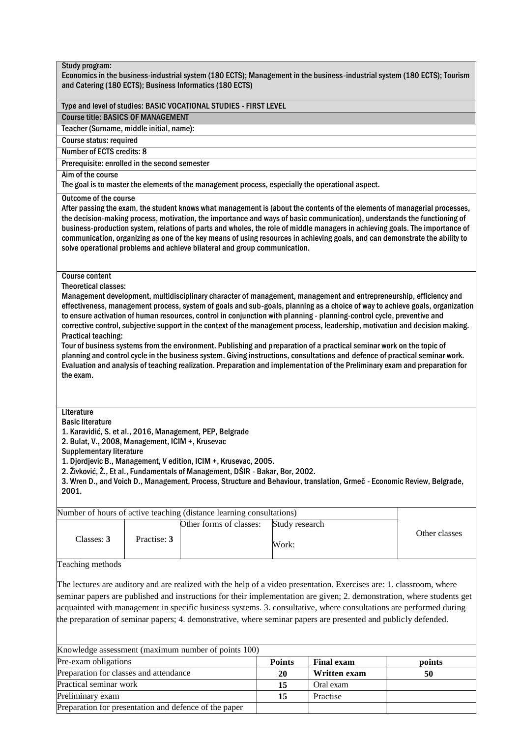| Study program:                                                                                                                        |             | and Catering (180 ECTS); Business Informatics (180 ECTS)                                                                                                                                                      |                |                                                                                                                                                                                                                                                                                                                                                                                                                                                                                                       | Economics in the business-industrial system (180 ECTS); Management in the business-industrial system (180 ECTS); Tourism                                                                                                                                                                                                                                                                                                                                                                                             |
|---------------------------------------------------------------------------------------------------------------------------------------|-------------|---------------------------------------------------------------------------------------------------------------------------------------------------------------------------------------------------------------|----------------|-------------------------------------------------------------------------------------------------------------------------------------------------------------------------------------------------------------------------------------------------------------------------------------------------------------------------------------------------------------------------------------------------------------------------------------------------------------------------------------------------------|----------------------------------------------------------------------------------------------------------------------------------------------------------------------------------------------------------------------------------------------------------------------------------------------------------------------------------------------------------------------------------------------------------------------------------------------------------------------------------------------------------------------|
|                                                                                                                                       |             | Type and level of studies: BASIC VOCATIONAL STUDIES - FIRST LEVEL                                                                                                                                             |                |                                                                                                                                                                                                                                                                                                                                                                                                                                                                                                       |                                                                                                                                                                                                                                                                                                                                                                                                                                                                                                                      |
| <b>Course title: BASICS OF MANAGEMENT</b>                                                                                             |             |                                                                                                                                                                                                               |                |                                                                                                                                                                                                                                                                                                                                                                                                                                                                                                       |                                                                                                                                                                                                                                                                                                                                                                                                                                                                                                                      |
| Teacher (Surname, middle initial, name):                                                                                              |             |                                                                                                                                                                                                               |                |                                                                                                                                                                                                                                                                                                                                                                                                                                                                                                       |                                                                                                                                                                                                                                                                                                                                                                                                                                                                                                                      |
| Course status: required                                                                                                               |             |                                                                                                                                                                                                               |                |                                                                                                                                                                                                                                                                                                                                                                                                                                                                                                       |                                                                                                                                                                                                                                                                                                                                                                                                                                                                                                                      |
| <b>Number of ECTS credits: 8</b>                                                                                                      |             |                                                                                                                                                                                                               |                |                                                                                                                                                                                                                                                                                                                                                                                                                                                                                                       |                                                                                                                                                                                                                                                                                                                                                                                                                                                                                                                      |
| Prerequisite: enrolled in the second semester                                                                                         |             |                                                                                                                                                                                                               |                |                                                                                                                                                                                                                                                                                                                                                                                                                                                                                                       |                                                                                                                                                                                                                                                                                                                                                                                                                                                                                                                      |
| Aim of the course                                                                                                                     |             | The goal is to master the elements of the management process, especially the operational aspect.                                                                                                              |                |                                                                                                                                                                                                                                                                                                                                                                                                                                                                                                       |                                                                                                                                                                                                                                                                                                                                                                                                                                                                                                                      |
| <b>Outcome of the course</b>                                                                                                          |             | solve operational problems and achieve bilateral and group communication.                                                                                                                                     |                |                                                                                                                                                                                                                                                                                                                                                                                                                                                                                                       | After passing the exam, the student knows what management is (about the contents of the elements of managerial processes,<br>the decision-making process, motivation, the importance and ways of basic communication), understands the functioning of<br>business-production system, relations of parts and wholes, the role of middle managers in achieving goals. The importance of<br>communication, organizing as one of the key means of using resources in achieving goals, and can demonstrate the ability to |
| <b>Course content</b><br><b>Theoretical classes:</b><br><b>Practical teaching:</b><br>the exam.                                       |             |                                                                                                                                                                                                               |                | Management development, multidisciplinary character of management, management and entrepreneurship, efficiency and<br>to ensure activation of human resources, control in conjunction with planning - planning-control cycle, preventive and<br>Tour of business systems from the environment. Publishing and preparation of a practical seminar work on the topic of<br>planning and control cycle in the business system. Giving instructions, consultations and defence of practical seminar work. | effectiveness, management process, system of goals and sub-goals, planning as a choice of way to achieve goals, organization<br>corrective control, subjective support in the context of the management process, leadership, motivation and decision making.<br>Evaluation and analysis of teaching realization. Preparation and implementation of the Preliminary exam and preparation for                                                                                                                          |
| Literature<br><b>Basic literature</b><br>2. Bulat, V., 2008, Management, ICIM +, Krusevac<br><b>Supplementary literature</b><br>2001. |             | 1. Karavidić, S. et al., 2016, Management, PEP, Belgrade<br>1. Djordjevic B., Management, V edition, ICIM +, Krusevac, 2005.<br>2. Živković, Ž., Et al., Fundamentals of Management, DŠIR - Bakar, Bor, 2002. |                | 3. Wren D., and Voich D., Management, Process, Structure and Behaviour, translation, Grmeč - Economic Review, Belgrade,                                                                                                                                                                                                                                                                                                                                                                               |                                                                                                                                                                                                                                                                                                                                                                                                                                                                                                                      |
|                                                                                                                                       |             | Number of hours of active teaching (distance learning consultations)                                                                                                                                          |                |                                                                                                                                                                                                                                                                                                                                                                                                                                                                                                       |                                                                                                                                                                                                                                                                                                                                                                                                                                                                                                                      |
|                                                                                                                                       |             | Other forms of classes:                                                                                                                                                                                       | Study research |                                                                                                                                                                                                                                                                                                                                                                                                                                                                                                       |                                                                                                                                                                                                                                                                                                                                                                                                                                                                                                                      |
| Classes: 3                                                                                                                            | Practise: 3 |                                                                                                                                                                                                               | Work:          |                                                                                                                                                                                                                                                                                                                                                                                                                                                                                                       | Other classes                                                                                                                                                                                                                                                                                                                                                                                                                                                                                                        |
| Teaching methods                                                                                                                      |             |                                                                                                                                                                                                               |                |                                                                                                                                                                                                                                                                                                                                                                                                                                                                                                       |                                                                                                                                                                                                                                                                                                                                                                                                                                                                                                                      |
|                                                                                                                                       |             |                                                                                                                                                                                                               |                | The lectures are auditory and are realized with the help of a video presentation. Exercises are: 1. classroom, where<br>acquainted with management in specific business systems. 3. consultative, where consultations are performed during<br>the preparation of seminar papers; 4. demonstrative, where seminar papers are presented and publicly defended.                                                                                                                                          | seminar papers are published and instructions for their implementation are given; 2. demonstration, where students get                                                                                                                                                                                                                                                                                                                                                                                               |
|                                                                                                                                       |             | Knowledge assessment (maximum number of points 100)                                                                                                                                                           |                |                                                                                                                                                                                                                                                                                                                                                                                                                                                                                                       |                                                                                                                                                                                                                                                                                                                                                                                                                                                                                                                      |
| Pre-exam obligations                                                                                                                  |             |                                                                                                                                                                                                               | <b>Points</b>  | <b>Final exam</b>                                                                                                                                                                                                                                                                                                                                                                                                                                                                                     | points                                                                                                                                                                                                                                                                                                                                                                                                                                                                                                               |
| Preparation for classes and attendance                                                                                                |             |                                                                                                                                                                                                               | <b>20</b>      | Written exam                                                                                                                                                                                                                                                                                                                                                                                                                                                                                          | 50                                                                                                                                                                                                                                                                                                                                                                                                                                                                                                                   |

Practical seminar work **15** Oral exam **30** Oral exam **30** Oral exam **30** Oral exam **30** Oral exam **30** Oral exam **30** Oral exam **30** Oral exam **30** Oral exam **30** Oral exam **30** Oral exam **30** Oral exam **30** Oral exam **30** Preliminary exam **15** Practise

Preparation for presentation and defence of the paper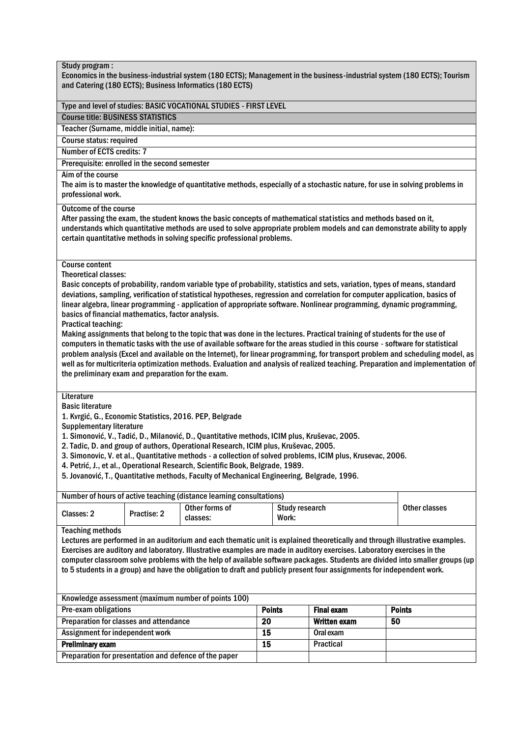| Study program :<br>Economics in the business-industrial system (180 ECTS); Management in the business-industrial system (180 ECTS); Tourism                                                                                                                                                                                                                                                                                                                                                                                                                                                                                                                                                                                                                                                                                                                                                                                                                                                                                                                                                                               |             |                                                                                                                                                                                                                                                                                                                                                                                                                                                                                                                                              |                 |                                |                   |    |               |  |
|---------------------------------------------------------------------------------------------------------------------------------------------------------------------------------------------------------------------------------------------------------------------------------------------------------------------------------------------------------------------------------------------------------------------------------------------------------------------------------------------------------------------------------------------------------------------------------------------------------------------------------------------------------------------------------------------------------------------------------------------------------------------------------------------------------------------------------------------------------------------------------------------------------------------------------------------------------------------------------------------------------------------------------------------------------------------------------------------------------------------------|-------------|----------------------------------------------------------------------------------------------------------------------------------------------------------------------------------------------------------------------------------------------------------------------------------------------------------------------------------------------------------------------------------------------------------------------------------------------------------------------------------------------------------------------------------------------|-----------------|--------------------------------|-------------------|----|---------------|--|
|                                                                                                                                                                                                                                                                                                                                                                                                                                                                                                                                                                                                                                                                                                                                                                                                                                                                                                                                                                                                                                                                                                                           |             | and Catering (180 ECTS); Business Informatics (180 ECTS)                                                                                                                                                                                                                                                                                                                                                                                                                                                                                     |                 |                                |                   |    |               |  |
|                                                                                                                                                                                                                                                                                                                                                                                                                                                                                                                                                                                                                                                                                                                                                                                                                                                                                                                                                                                                                                                                                                                           |             | Type and level of studies: BASIC VOCATIONAL STUDIES - FIRST LEVEL                                                                                                                                                                                                                                                                                                                                                                                                                                                                            |                 |                                |                   |    |               |  |
| <b>Course title: BUSINESS STATISTICS</b>                                                                                                                                                                                                                                                                                                                                                                                                                                                                                                                                                                                                                                                                                                                                                                                                                                                                                                                                                                                                                                                                                  |             |                                                                                                                                                                                                                                                                                                                                                                                                                                                                                                                                              |                 |                                |                   |    |               |  |
| Teacher (Surname, middle initial, name):                                                                                                                                                                                                                                                                                                                                                                                                                                                                                                                                                                                                                                                                                                                                                                                                                                                                                                                                                                                                                                                                                  |             |                                                                                                                                                                                                                                                                                                                                                                                                                                                                                                                                              |                 |                                |                   |    |               |  |
| Course status: required                                                                                                                                                                                                                                                                                                                                                                                                                                                                                                                                                                                                                                                                                                                                                                                                                                                                                                                                                                                                                                                                                                   |             |                                                                                                                                                                                                                                                                                                                                                                                                                                                                                                                                              |                 |                                |                   |    |               |  |
| Number of ECTS credits: 7                                                                                                                                                                                                                                                                                                                                                                                                                                                                                                                                                                                                                                                                                                                                                                                                                                                                                                                                                                                                                                                                                                 |             |                                                                                                                                                                                                                                                                                                                                                                                                                                                                                                                                              |                 |                                |                   |    |               |  |
| Prerequisite: enrolled in the second semester                                                                                                                                                                                                                                                                                                                                                                                                                                                                                                                                                                                                                                                                                                                                                                                                                                                                                                                                                                                                                                                                             |             |                                                                                                                                                                                                                                                                                                                                                                                                                                                                                                                                              |                 |                                |                   |    |               |  |
| Aim of the course<br>The aim is to master the knowledge of quantitative methods, especially of a stochastic nature, for use in solving problems in<br>professional work.                                                                                                                                                                                                                                                                                                                                                                                                                                                                                                                                                                                                                                                                                                                                                                                                                                                                                                                                                  |             |                                                                                                                                                                                                                                                                                                                                                                                                                                                                                                                                              |                 |                                |                   |    |               |  |
| <b>Outcome of the course</b><br>After passing the exam, the student knows the basic concepts of mathematical statistics and methods based on it,<br>understands which quantitative methods are used to solve appropriate problem models and can demonstrate ability to apply<br>certain quantitative methods in solving specific professional problems.                                                                                                                                                                                                                                                                                                                                                                                                                                                                                                                                                                                                                                                                                                                                                                   |             |                                                                                                                                                                                                                                                                                                                                                                                                                                                                                                                                              |                 |                                |                   |    |               |  |
| <b>Course content</b><br><b>Theoretical classes:</b><br>Basic concepts of probability, random variable type of probability, statistics and sets, variation, types of means, standard<br>deviations, sampling, verification of statistical hypotheses, regression and correlation for computer application, basics of<br>linear algebra, linear programming - application of appropriate software. Nonlinear programming, dynamic programming,<br>basics of financial mathematics, factor analysis.<br><b>Practical teaching:</b><br>Making assignments that belong to the topic that was done in the lectures. Practical training of students for the use of<br>computers in thematic tasks with the use of available software for the areas studied in this course - software for statistical<br>problem analysis (Excel and available on the Internet), for linear programming, for transport problem and scheduling model, as<br>well as for multicriteria optimization methods. Evaluation and analysis of realized teaching. Preparation and implementation of<br>the preliminary exam and preparation for the exam. |             |                                                                                                                                                                                                                                                                                                                                                                                                                                                                                                                                              |                 |                                |                   |    |               |  |
| Literature<br><b>Basic literature</b><br><b>Supplementary literature</b>                                                                                                                                                                                                                                                                                                                                                                                                                                                                                                                                                                                                                                                                                                                                                                                                                                                                                                                                                                                                                                                  |             | 1. Kvrgić, G., Economic Statistics, 2016. PEP, Belgrade<br>1. Simonović, V., Tadić, D., Milanović, D., Quantitative methods, ICIM plus, Kruševac, 2005.<br>2. Tadic, D. and group of authors, Operational Research, ICIM plus, Kruševac, 2005.<br>3. Simonovic, V. et al., Quantitative methods - a collection of solved problems, ICIM plus, Krusevac, 2006.<br>4. Petrić, J., et al., Operational Research, Scientific Book, Belgrade, 1989.<br>5. Jovanović, T., Quantitative methods, Faculty of Mechanical Engineering, Belgrade, 1996. |                 |                                |                   |    |               |  |
|                                                                                                                                                                                                                                                                                                                                                                                                                                                                                                                                                                                                                                                                                                                                                                                                                                                                                                                                                                                                                                                                                                                           |             | Number of hours of active teaching (distance learning consultations)                                                                                                                                                                                                                                                                                                                                                                                                                                                                         |                 |                                |                   |    |               |  |
| Classes: 2                                                                                                                                                                                                                                                                                                                                                                                                                                                                                                                                                                                                                                                                                                                                                                                                                                                                                                                                                                                                                                                                                                                | Practise: 2 | Other forms of<br>classes:                                                                                                                                                                                                                                                                                                                                                                                                                                                                                                                   |                 | <b>Study research</b><br>Work: |                   |    | Other classes |  |
| <b>Teaching methods</b><br>Lectures are performed in an auditorium and each thematic unit is explained theoretically and through illustrative examples.<br>Exercises are auditory and laboratory. Illustrative examples are made in auditory exercises. Laboratory exercises in the<br>computer classroom solve problems with the help of available software packages. Students are divided into smaller groups (up<br>to 5 students in a group) and have the obligation to draft and publicly present four assignments for independent work.                                                                                                                                                                                                                                                                                                                                                                                                                                                                                                                                                                             |             |                                                                                                                                                                                                                                                                                                                                                                                                                                                                                                                                              |                 |                                |                   |    |               |  |
|                                                                                                                                                                                                                                                                                                                                                                                                                                                                                                                                                                                                                                                                                                                                                                                                                                                                                                                                                                                                                                                                                                                           |             | Knowledge assessment (maximum number of points 100)                                                                                                                                                                                                                                                                                                                                                                                                                                                                                          |                 |                                |                   |    |               |  |
| Pre-exam obligations                                                                                                                                                                                                                                                                                                                                                                                                                                                                                                                                                                                                                                                                                                                                                                                                                                                                                                                                                                                                                                                                                                      |             |                                                                                                                                                                                                                                                                                                                                                                                                                                                                                                                                              | <b>Points</b>   |                                | <b>Final exam</b> |    | <b>Points</b> |  |
| Preparation for classes and attendance                                                                                                                                                                                                                                                                                                                                                                                                                                                                                                                                                                                                                                                                                                                                                                                                                                                                                                                                                                                                                                                                                    |             |                                                                                                                                                                                                                                                                                                                                                                                                                                                                                                                                              | 20              |                                | Written exam      | 50 |               |  |
| Assignment for independent work                                                                                                                                                                                                                                                                                                                                                                                                                                                                                                                                                                                                                                                                                                                                                                                                                                                                                                                                                                                                                                                                                           |             |                                                                                                                                                                                                                                                                                                                                                                                                                                                                                                                                              | 15              |                                | Oral exam         |    |               |  |
| <b>Preliminary exam</b>                                                                                                                                                                                                                                                                                                                                                                                                                                                                                                                                                                                                                                                                                                                                                                                                                                                                                                                                                                                                                                                                                                   |             |                                                                                                                                                                                                                                                                                                                                                                                                                                                                                                                                              | $\overline{15}$ |                                | Practical         |    |               |  |
| Preparation for presentation and defence of the paper                                                                                                                                                                                                                                                                                                                                                                                                                                                                                                                                                                                                                                                                                                                                                                                                                                                                                                                                                                                                                                                                     |             |                                                                                                                                                                                                                                                                                                                                                                                                                                                                                                                                              |                 |                                |                   |    |               |  |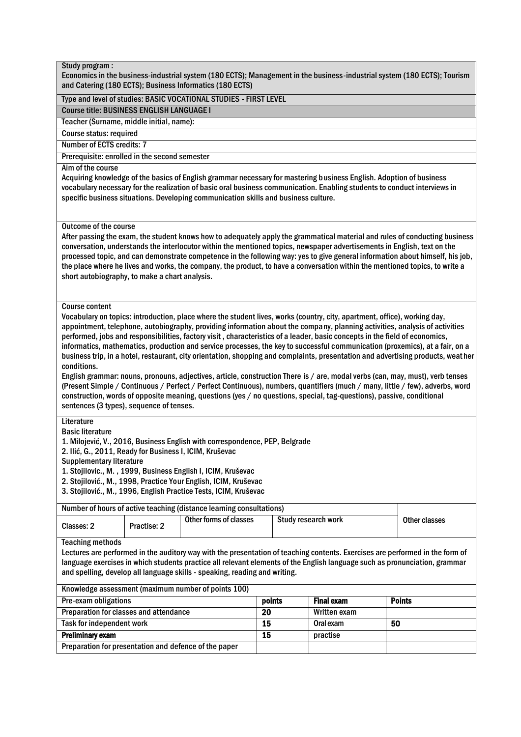Economics in the business-industrial system (180 ECTS); Management in the business-industrial system (180 ECTS); Tourism and Catering (180 ECTS); Business Informatics (180 ECTS)

#### Type and level of studies: BASIC VOCATIONAL STUDIES - FIRST LEVEL

Course title: BUSINESS ENGLISH LANGUAGE I

Teacher (Surname, middle initial, name):

Course status: required

Number of ECTS credits: 7

Prerequisite: enrolled in the second semester

# Aim of the course

Acquiring knowledge of the basics of English grammar necessary for mastering business English. Adoption of business vocabulary necessary for the realization of basic oral business communication. Enabling students to conduct interviews in specific business situations. Developing communication skills and business culture.

#### Outcome of the course

After passing the exam, the student knows how to adequately apply the grammatical material and rules of conducting business conversation, understands the interlocutor within the mentioned topics, newspaper advertisements in English, text on the processed topic, and can demonstrate competence in the following way: yes to give general information about himself, his job, the place where he lives and works, the company, the product, to have a conversation within the mentioned topics, to write a short autobiography, to make a chart analysis.

#### Course content

Vocabulary on topics: introduction, place where the student lives, works (country, city, apartment, office), working day, appointment, telephone, autobiography, providing information about the company, planning activities, analysis of activities performed, jobs and responsibilities, factory visit , characteristics of a leader, basic concepts in the field of economics, informatics, mathematics, production and service processes, the key to successful communication (proxemics), at a fair, on a business trip, in a hotel, restaurant, city orientation, shopping and complaints, presentation and advertising products, weat her conditions.

English grammar: nouns, pronouns, adjectives, article, construction There is / are, modal verbs (can, may, must), verb tenses (Present Simple / Continuous / Perfect / Perfect Continuous), numbers, quantifiers (much / many, little / few), adverbs, word construction, words of opposite meaning, questions (yes / no questions, special, tag-questions), passive, conditional sentences (3 types), sequence of tenses.

# **Literature**

Basic literature

1. Milojević, V., 2016, Business English with correspondence, PEP, Belgrade

2. Ilić, G., 2011, Ready for Business I, ICIM, Kruševac

Supplementary literature

1. Stojilovic., M. , 1999, Business English I, ICIM, Kruševac

2. Stojilović., M., 1998, Practice Your English, ICIM, Kruševac

3. Stojilović., M., 1996, English Practice Tests, ICIM, Kruševac

| Number of hours of active teaching (distance learning consultations) |             |                        |                     |               |
|----------------------------------------------------------------------|-------------|------------------------|---------------------|---------------|
| Classes: 2                                                           | Practise: 2 | Other forms of classes | Study research work | Other classes |

Teaching methods

Lectures are performed in the auditory way with the presentation of teaching contents. Exercises are performed in the form of language exercises in which students practice all relevant elements of the English language such as pronunciation, grammar and spelling, develop all language skills - speaking, reading and writing.

#### Knowledge assessment (maximum number of points 100)

| Pre-exam obligations                                  | points | <b>Final exam</b> | <b>Points</b> |
|-------------------------------------------------------|--------|-------------------|---------------|
| Preparation for classes and attendance                | 20     | Written exam      |               |
| Task for independent work                             | 15     | Oral exam         | 50            |
| <b>Preliminary exam</b>                               | 15     | practise          |               |
| Preparation for presentation and defence of the paper |        |                   |               |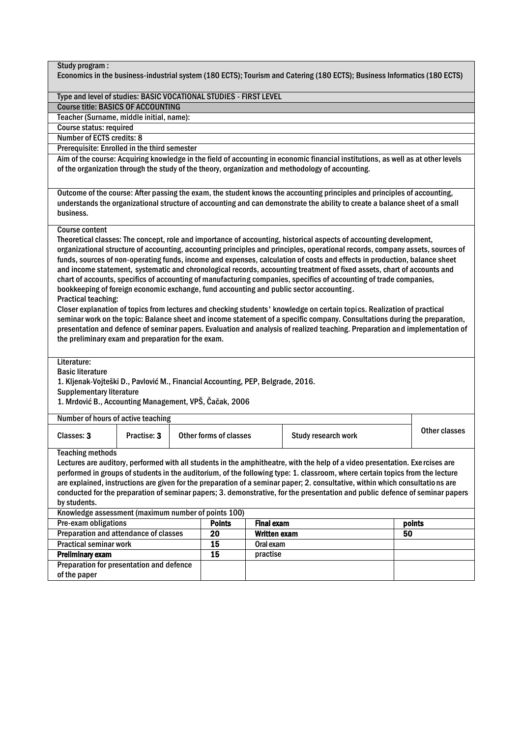| Study program :<br>Economics in the business-industrial system (180 ECTS); Tourism and Catering (180 ECTS); Business Informatics (180 ECTS) |                                                     |  |                               |                   |                                                                                                                                                                                                                                                         |    |               |  |  |  |
|---------------------------------------------------------------------------------------------------------------------------------------------|-----------------------------------------------------|--|-------------------------------|-------------------|---------------------------------------------------------------------------------------------------------------------------------------------------------------------------------------------------------------------------------------------------------|----|---------------|--|--|--|
|                                                                                                                                             |                                                     |  |                               |                   |                                                                                                                                                                                                                                                         |    |               |  |  |  |
| Type and level of studies: BASIC VOCATIONAL STUDIES - FIRST LEVEL                                                                           |                                                     |  |                               |                   |                                                                                                                                                                                                                                                         |    |               |  |  |  |
| <b>Course title: BASICS OF ACCOUNTING</b>                                                                                                   |                                                     |  |                               |                   |                                                                                                                                                                                                                                                         |    |               |  |  |  |
| Teacher (Surname, middle initial, name):                                                                                                    |                                                     |  |                               |                   |                                                                                                                                                                                                                                                         |    |               |  |  |  |
| Course status: required                                                                                                                     |                                                     |  |                               |                   |                                                                                                                                                                                                                                                         |    |               |  |  |  |
| Number of ECTS credits: 8                                                                                                                   |                                                     |  |                               |                   |                                                                                                                                                                                                                                                         |    |               |  |  |  |
| Prerequisite: Enrolled in the third semester                                                                                                |                                                     |  |                               |                   |                                                                                                                                                                                                                                                         |    |               |  |  |  |
|                                                                                                                                             |                                                     |  |                               |                   | Aim of the course: Acquiring knowledge in the field of accounting in economic financial institutions, as well as at other levels                                                                                                                        |    |               |  |  |  |
|                                                                                                                                             |                                                     |  |                               |                   | of the organization through the study of the theory, organization and methodology of accounting.                                                                                                                                                        |    |               |  |  |  |
|                                                                                                                                             |                                                     |  |                               |                   |                                                                                                                                                                                                                                                         |    |               |  |  |  |
|                                                                                                                                             |                                                     |  |                               |                   |                                                                                                                                                                                                                                                         |    |               |  |  |  |
|                                                                                                                                             |                                                     |  |                               |                   | Outcome of the course: After passing the exam, the student knows the accounting principles and principles of accounting,<br>understands the organizational structure of accounting and can demonstrate the ability to create a balance sheet of a small |    |               |  |  |  |
| business.                                                                                                                                   |                                                     |  |                               |                   |                                                                                                                                                                                                                                                         |    |               |  |  |  |
|                                                                                                                                             |                                                     |  |                               |                   |                                                                                                                                                                                                                                                         |    |               |  |  |  |
| <b>Course content</b>                                                                                                                       |                                                     |  |                               |                   |                                                                                                                                                                                                                                                         |    |               |  |  |  |
|                                                                                                                                             |                                                     |  |                               |                   | Theoretical classes: The concept, role and importance of accounting, historical aspects of accounting development,                                                                                                                                      |    |               |  |  |  |
|                                                                                                                                             |                                                     |  |                               |                   | organizational structure of accounting, accounting principles and principles, operational records, company assets, sources of                                                                                                                           |    |               |  |  |  |
|                                                                                                                                             |                                                     |  |                               |                   | funds, sources of non-operating funds, income and expenses, calculation of costs and effects in production, balance sheet                                                                                                                               |    |               |  |  |  |
|                                                                                                                                             |                                                     |  |                               |                   | and income statement, systematic and chronological records, accounting treatment of fixed assets, chart of accounts and                                                                                                                                 |    |               |  |  |  |
|                                                                                                                                             |                                                     |  |                               |                   | chart of accounts, specifics of accounting of manufacturing companies, specifics of accounting of trade companies,                                                                                                                                      |    |               |  |  |  |
|                                                                                                                                             |                                                     |  |                               |                   | bookkeeping of foreign economic exchange, fund accounting and public sector accounting.                                                                                                                                                                 |    |               |  |  |  |
| <b>Practical teaching:</b>                                                                                                                  |                                                     |  |                               |                   |                                                                                                                                                                                                                                                         |    |               |  |  |  |
|                                                                                                                                             |                                                     |  |                               |                   | Closer explanation of topics from lectures and checking students' knowledge on certain topics. Realization of practical                                                                                                                                 |    |               |  |  |  |
|                                                                                                                                             |                                                     |  |                               |                   | seminar work on the topic: Balance sheet and income statement of a specific company. Consultations during the preparation,                                                                                                                              |    |               |  |  |  |
|                                                                                                                                             |                                                     |  |                               |                   | presentation and defence of seminar papers. Evaluation and analysis of realized teaching. Preparation and implementation of                                                                                                                             |    |               |  |  |  |
| the preliminary exam and preparation for the exam.                                                                                          |                                                     |  |                               |                   |                                                                                                                                                                                                                                                         |    |               |  |  |  |
|                                                                                                                                             |                                                     |  |                               |                   |                                                                                                                                                                                                                                                         |    |               |  |  |  |
| Literature:                                                                                                                                 |                                                     |  |                               |                   |                                                                                                                                                                                                                                                         |    |               |  |  |  |
| <b>Basic literature</b>                                                                                                                     |                                                     |  |                               |                   |                                                                                                                                                                                                                                                         |    |               |  |  |  |
| 1. Kljenak-Vojteški D., Pavlović M., Financial Accounting, PEP, Belgrade, 2016.                                                             |                                                     |  |                               |                   |                                                                                                                                                                                                                                                         |    |               |  |  |  |
| <b>Supplementary literature</b><br>1. Mrdović B., Accounting Management, VPŠ, Čačak, 2006                                                   |                                                     |  |                               |                   |                                                                                                                                                                                                                                                         |    |               |  |  |  |
|                                                                                                                                             |                                                     |  |                               |                   |                                                                                                                                                                                                                                                         |    |               |  |  |  |
| Number of hours of active teaching                                                                                                          |                                                     |  |                               |                   |                                                                                                                                                                                                                                                         |    |               |  |  |  |
|                                                                                                                                             |                                                     |  |                               |                   |                                                                                                                                                                                                                                                         |    | Other classes |  |  |  |
| Classes: 3                                                                                                                                  | Practise: 3                                         |  | <b>Other forms of classes</b> |                   | Study research work                                                                                                                                                                                                                                     |    |               |  |  |  |
| <b>Teaching methods</b>                                                                                                                     |                                                     |  |                               |                   |                                                                                                                                                                                                                                                         |    |               |  |  |  |
|                                                                                                                                             |                                                     |  |                               |                   | Lectures are auditory, performed with all students in the amphitheatre, with the help of a video presentation. Exercises are                                                                                                                            |    |               |  |  |  |
|                                                                                                                                             |                                                     |  |                               |                   | performed in groups of students in the auditorium, of the following type: 1. classroom, where certain topics from the lecture                                                                                                                           |    |               |  |  |  |
|                                                                                                                                             |                                                     |  |                               |                   | are explained, instructions are given for the preparation of a seminar paper; 2. consultative, within which consultations are                                                                                                                           |    |               |  |  |  |
|                                                                                                                                             |                                                     |  |                               |                   | conducted for the preparation of seminar papers; 3. demonstrative, for the presentation and public defence of seminar papers                                                                                                                            |    |               |  |  |  |
| by students.                                                                                                                                |                                                     |  |                               |                   |                                                                                                                                                                                                                                                         |    |               |  |  |  |
|                                                                                                                                             | Knowledge assessment (maximum number of points 100) |  |                               |                   |                                                                                                                                                                                                                                                         |    |               |  |  |  |
| Pre-exam obligations                                                                                                                        |                                                     |  | <b>Points</b>                 | <b>Final exam</b> |                                                                                                                                                                                                                                                         |    | points        |  |  |  |
| Preparation and attendance of classes                                                                                                       |                                                     |  | 20                            | Written exam      |                                                                                                                                                                                                                                                         | 50 |               |  |  |  |
| <b>Practical seminar work</b>                                                                                                               |                                                     |  | $\overline{15}$               | Oral exam         |                                                                                                                                                                                                                                                         |    |               |  |  |  |
| <b>Preliminary exam</b>                                                                                                                     |                                                     |  | $\overline{15}$               | practise          |                                                                                                                                                                                                                                                         |    |               |  |  |  |
| Preparation for presentation and defence                                                                                                    |                                                     |  |                               |                   |                                                                                                                                                                                                                                                         |    |               |  |  |  |
| of the paper                                                                                                                                |                                                     |  |                               |                   |                                                                                                                                                                                                                                                         |    |               |  |  |  |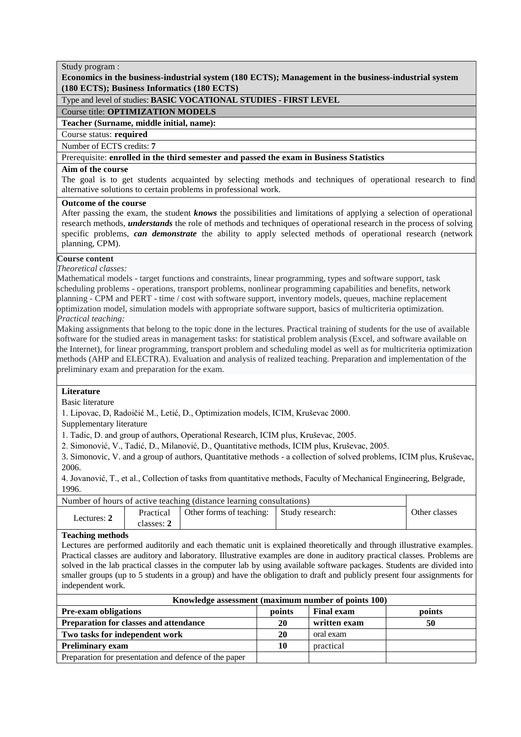**Economics in the business-industrial system (180 ECTS); Management in the business-industrial system (180 ECTS); Business Informatics (180 ECTS)**

# Type and level of studies: **BASIC VOCATIONAL STUDIES - FIRST LEVEL**

Course title: **OPTIMIZATION MODELS**

**Teacher (Surname, middle initial, name):**

Course status: **required** 

Number of ECTS credits: 7

# Prerequisite: enrolled in the third semester and passed the exam in Business Statistics

# Aim of the course

The goal is to get students acquainted by selecting methods and techniques of operational research to find alternative solutions to certain problems in professional work.

# **Outcome of the course**

After passing the exam, the student *knows* the possibilities and limitations of applying a selection of operational research methods, *understands* the role of methods and techniques of operational research in the process of solving specific problems, *can demonstrate* the ability to apply selected methods of operational research (network planning, CPM).

# **Course content**

*Theoretical classes:*

Mathematical models - target functions and constraints, linear programming, types and software support, task scheduling problems - operations, transport problems, nonlinear programming capabilities and benefits, network planning - CPM and PERT - time / cost with software support, inventory models, queues, machine replacement optimization model, simulation models with appropriate software support, basics of multicriteria optimization. *Practical teaching:*

Making assignments that belong to the topic done in the lectures. Practical training of students for the use of available software for the studied areas in management tasks: for statistical problem analysis (Excel, and software available on the Internet), for linear programming, transport problem and scheduling model as well as for multicriteria optimization methods (AHP and ELECTRA). Evaluation and analysis of realized teaching. Preparation and implementation of the preliminary exam and preparation for the exam.

# **Literature**

Basic literature

1. Lipovac, D, Radoičić M., Letić, D., Optimization models, ICIM, Kruševac 2000.

Supplementary literature

1. Tadic, D. and group of authors, Operational Research, ICIM plus, Kruševac, 2005.

2. Simonović, V., Tadić, D., Milanović, D., Quantitative methods, ICIM plus, Kruševac, 2005.

3. Simonovic, V. and a group of authors, Quantitative methods - a collection of solved problems, ICIM plus, Kruševac, 2006.

4. Jovanović, T., et al., Collection of tasks from quantitative methods, Faculty of Mechanical Engineering, Belgrade, 1996.

| Number of hours of active teaching (distance learning consultations) |                         |                                          |  |               |
|----------------------------------------------------------------------|-------------------------|------------------------------------------|--|---------------|
| Lectures: $2$                                                        | Practical<br>classes: 2 | Other forms of teaching: Study research: |  | Other classes |

#### **Teaching methods**

Lectures are performed auditorily and each thematic unit is explained theoretically and through illustrative examples. Practical classes are auditory and laboratory. Illustrative examples are done in auditory practical classes. Problems are solved in the lab practical classes in the computer lab by using available software packages. Students are divided into smaller groups (up to 5 students in a group) and have the obligation to draft and publicly present four assignments for independent work.

| Knowledge assessment (maximum number of points 100)   |        |                   |        |  |  |  |  |  |
|-------------------------------------------------------|--------|-------------------|--------|--|--|--|--|--|
| <b>Pre-exam obligations</b>                           | points | <b>Final exam</b> | points |  |  |  |  |  |
| Preparation for classes and attendance                | 20     | written exam      | 50     |  |  |  |  |  |
| Two tasks for independent work                        | 20     | oral exam         |        |  |  |  |  |  |
| <b>Preliminary exam</b>                               | 10     | practical         |        |  |  |  |  |  |
| Preparation for presentation and defence of the paper |        |                   |        |  |  |  |  |  |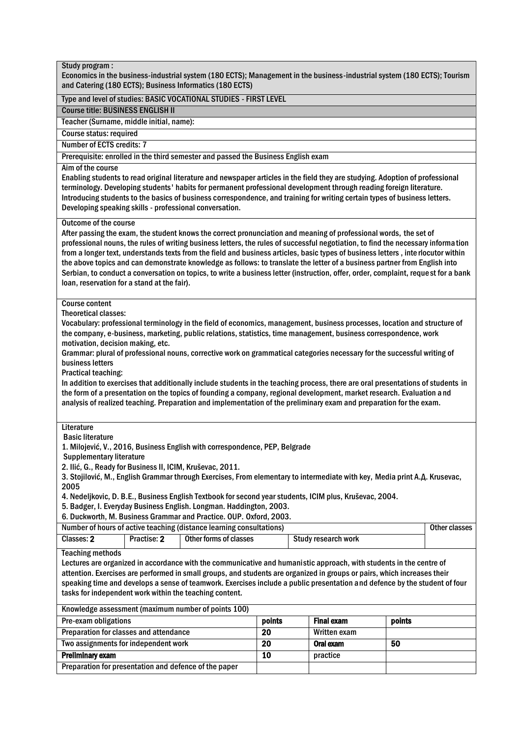# Study program : Economics in the business-industrial system (180 ECTS); Management in the business-industrial system (180 ECTS); Tourism and Catering (180 ECTS); Business Informatics (180 ECTS) Type and level of studies: BASIC VOCATIONAL STUDIES - FIRST LEVEL Course title: BUSINESS ENGLISH II Teacher (Surname, middle initial, name): Course status: required Number of ECTS credits: 7 Prerequisite: enrolled in the third semester and passed the Business English exam Aim of the course Enabling students to read original literature and newspaper articles in the field they are studying. Adoption of professional terminology. Developing students' habits for permanent professional development through reading foreign literature. Introducing students to the basics of business correspondence, and training for writing certain types of business letters. Developing speaking skills - professional conversation. Outcome of the course After passing the exam, the student knows the correct pronunciation and meaning of professional words, the set of professional nouns, the rules of writing business letters, the rules of successful negotiation, to find the necessary informa tion from a longer text, understands texts from the field and business articles, basic types of business letters , inte rlocutor within the above topics and can demonstrate knowledge as follows: to translate the letter of a business partner from English into Serbian, to conduct a conversation on topics, to write a business letter (instruction, offer, order, complaint, reque st for a bank loan, reservation for a stand at the fair). Course content Theoretical classes: Vocabulary: professional terminology in the field of economics, management, business processes, location and structure of the company, e-business, marketing, public relations, statistics, time management, business correspondence, work motivation, decision making, etc. Grammar: plural of professional nouns, corrective work on grammatical categories necessary for the successful writing of business letters Practical teaching: In addition to exercises that additionally include students in the teaching process, there are oral presentations of students in the form of a presentation on the topics of founding a company, regional development, market research. Evaluation a nd analysis of realized teaching. Preparation and implementation of the preliminary exam and preparation for the exam. **Literature** Basic literature 1. Milojević, V., 2016, Business English with correspondence, PEP, Belgrade Supplementary literature 2. Ilić, G., Ready for Business II, ICIM, Kruševac, 2011. 3. Stojilović, M., English Grammar through Exercises, From elementary to intermediate with key, Media print А.Д. Krusevac, 2005 4. Nedeljkovic, D. B.E., Business English Textbook for second year students, ICIM plus, Kruševac, 2004. 5. Badger, I. Everyday Business English. Longman. Haddington, 2003. 6. Duckworth, M. Business Grammar and Practice. OUP. Oxford, 2003. Number of hours of active teaching (distance learning consultations) and the classes of the classes Classes: 2 | Practise: 2 | Other forms of classes | Study research work Teaching methods Lectures are organized in accordance with the communicative and humanistic approach, with students in the centre of attention. Exercises are performed in small groups, and students are organized in groups or pairs, which increases their speaking time and develops a sense of teamwork. Exercises include a public presentation and defence by the student of four tasks for independent work within the teaching content. Knowledge assessment (maximum number of points 100) Pre-exam obligations **points points Final exam points points** Preparation for classes and attendance ī 20 Written exam Two assignments for independent work Ī 20 | Oral exam | 50 **Preliminary exam 10** practice Preparation for presentation and defence of the paper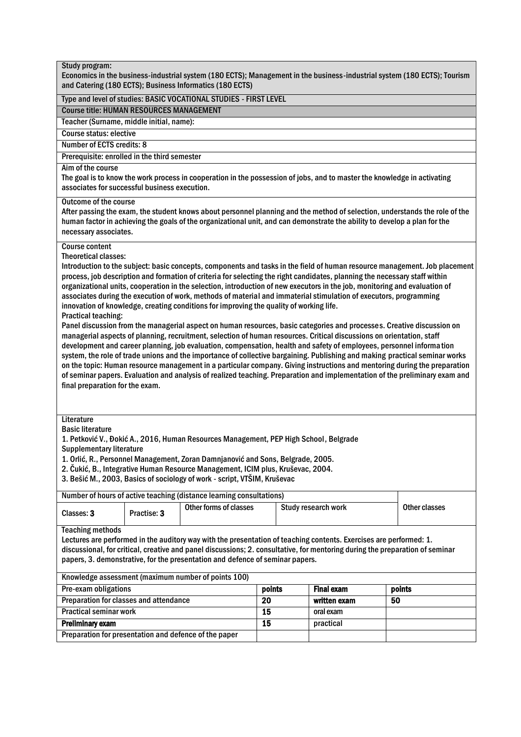| Study program:                                                                                                                                                                                                                                                                                                                                                                                                                                                                                                                                                                                                                                                                                                                                                                                                                                                                                                                                                                                                                                                                                                                                                                                                                                                                                                                                                                                                                                                                                        |                 |                     |    |               |  |
|-------------------------------------------------------------------------------------------------------------------------------------------------------------------------------------------------------------------------------------------------------------------------------------------------------------------------------------------------------------------------------------------------------------------------------------------------------------------------------------------------------------------------------------------------------------------------------------------------------------------------------------------------------------------------------------------------------------------------------------------------------------------------------------------------------------------------------------------------------------------------------------------------------------------------------------------------------------------------------------------------------------------------------------------------------------------------------------------------------------------------------------------------------------------------------------------------------------------------------------------------------------------------------------------------------------------------------------------------------------------------------------------------------------------------------------------------------------------------------------------------------|-----------------|---------------------|----|---------------|--|
| Economics in the business-industrial system (180 ECTS); Management in the business-industrial system (180 ECTS); Tourism<br>and Catering (180 ECTS); Business Informatics (180 ECTS)                                                                                                                                                                                                                                                                                                                                                                                                                                                                                                                                                                                                                                                                                                                                                                                                                                                                                                                                                                                                                                                                                                                                                                                                                                                                                                                  |                 |                     |    |               |  |
| Type and level of studies: BASIC VOCATIONAL STUDIES - FIRST LEVEL                                                                                                                                                                                                                                                                                                                                                                                                                                                                                                                                                                                                                                                                                                                                                                                                                                                                                                                                                                                                                                                                                                                                                                                                                                                                                                                                                                                                                                     |                 |                     |    |               |  |
| <b>Course title: HUMAN RESOURCES MANAGEMENT</b>                                                                                                                                                                                                                                                                                                                                                                                                                                                                                                                                                                                                                                                                                                                                                                                                                                                                                                                                                                                                                                                                                                                                                                                                                                                                                                                                                                                                                                                       |                 |                     |    |               |  |
| Teacher (Surname, middle initial, name):                                                                                                                                                                                                                                                                                                                                                                                                                                                                                                                                                                                                                                                                                                                                                                                                                                                                                                                                                                                                                                                                                                                                                                                                                                                                                                                                                                                                                                                              |                 |                     |    |               |  |
| <b>Course status: elective</b>                                                                                                                                                                                                                                                                                                                                                                                                                                                                                                                                                                                                                                                                                                                                                                                                                                                                                                                                                                                                                                                                                                                                                                                                                                                                                                                                                                                                                                                                        |                 |                     |    |               |  |
| <b>Number of ECTS credits: 8</b>                                                                                                                                                                                                                                                                                                                                                                                                                                                                                                                                                                                                                                                                                                                                                                                                                                                                                                                                                                                                                                                                                                                                                                                                                                                                                                                                                                                                                                                                      |                 |                     |    |               |  |
| Prerequisite: enrolled in the third semester                                                                                                                                                                                                                                                                                                                                                                                                                                                                                                                                                                                                                                                                                                                                                                                                                                                                                                                                                                                                                                                                                                                                                                                                                                                                                                                                                                                                                                                          |                 |                     |    |               |  |
| Aim of the course<br>The goal is to know the work process in cooperation in the possession of jobs, and to master the knowledge in activating<br>associates for successful business execution.                                                                                                                                                                                                                                                                                                                                                                                                                                                                                                                                                                                                                                                                                                                                                                                                                                                                                                                                                                                                                                                                                                                                                                                                                                                                                                        |                 |                     |    |               |  |
| <b>Outcome of the course</b><br>After passing the exam, the student knows about personnel planning and the method of selection, understands the role of the<br>human factor in achieving the goals of the organizational unit, and can demonstrate the ability to develop a plan for the<br>necessary associates.                                                                                                                                                                                                                                                                                                                                                                                                                                                                                                                                                                                                                                                                                                                                                                                                                                                                                                                                                                                                                                                                                                                                                                                     |                 |                     |    |               |  |
| <b>Course content</b><br><b>Theoretical classes:</b><br>Introduction to the subject: basic concepts, components and tasks in the field of human resource management. Job placement<br>process, job description and formation of criteria for selecting the right candidates, planning the necessary staff within<br>organizational units, cooperation in the selection, introduction of new executors in the job, monitoring and evaluation of<br>associates during the execution of work, methods of material and immaterial stimulation of executors, programming<br>innovation of knowledge, creating conditions for improving the quality of working life.<br><b>Practical teaching:</b><br>Panel discussion from the managerial aspect on human resources, basic categories and processes. Creative discussion on<br>managerial aspects of planning, recruitment, selection of human resources. Critical discussions on orientation, staff<br>development and career planning, job evaluation, compensation, health and safety of employees, personnel information<br>system, the role of trade unions and the importance of collective bargaining. Publishing and making practical seminar works<br>on the topic: Human resource management in a particular company. Giving instructions and mentoring during the preparation<br>of seminar papers. Evaluation and analysis of realized teaching. Preparation and implementation of the preliminary exam and<br>final preparation for the exam. |                 |                     |    |               |  |
| Literature<br><b>Basic literature</b><br>1. Petković V., Đokić A., 2016, Human Resources Management, PEP High School, Belgrade<br><b>Supplementary literature</b><br>1. Orlić, R., Personnel Management, Zoran Damnjanović and Sons, Belgrade, 2005.<br>2. Čukić, B., Integrative Human Resource Management, ICIM plus, Kruševac, 2004.<br>3. Bešić M., 2003, Basics of sociology of work - script, VTŠIM, Kruševac                                                                                                                                                                                                                                                                                                                                                                                                                                                                                                                                                                                                                                                                                                                                                                                                                                                                                                                                                                                                                                                                                   |                 |                     |    |               |  |
| Number of hours of active teaching (distance learning consultations)                                                                                                                                                                                                                                                                                                                                                                                                                                                                                                                                                                                                                                                                                                                                                                                                                                                                                                                                                                                                                                                                                                                                                                                                                                                                                                                                                                                                                                  |                 |                     |    |               |  |
| Other forms of classes<br>Practise: 3<br>Classes: 3                                                                                                                                                                                                                                                                                                                                                                                                                                                                                                                                                                                                                                                                                                                                                                                                                                                                                                                                                                                                                                                                                                                                                                                                                                                                                                                                                                                                                                                   |                 | Study research work |    | Other classes |  |
| <b>Teaching methods</b><br>Lectures are performed in the auditory way with the presentation of teaching contents. Exercises are performed: 1.<br>discussional, for critical, creative and panel discussions; 2. consultative, for mentoring during the preparation of seminar<br>papers, 3. demonstrative, for the presentation and defence of seminar papers.                                                                                                                                                                                                                                                                                                                                                                                                                                                                                                                                                                                                                                                                                                                                                                                                                                                                                                                                                                                                                                                                                                                                        |                 |                     |    |               |  |
| Knowledge assessment (maximum number of points 100)                                                                                                                                                                                                                                                                                                                                                                                                                                                                                                                                                                                                                                                                                                                                                                                                                                                                                                                                                                                                                                                                                                                                                                                                                                                                                                                                                                                                                                                   |                 |                     |    |               |  |
| Pre-exam obligations                                                                                                                                                                                                                                                                                                                                                                                                                                                                                                                                                                                                                                                                                                                                                                                                                                                                                                                                                                                                                                                                                                                                                                                                                                                                                                                                                                                                                                                                                  | points          | <b>Final exam</b>   |    | points        |  |
| Preparation for classes and attendance                                                                                                                                                                                                                                                                                                                                                                                                                                                                                                                                                                                                                                                                                                                                                                                                                                                                                                                                                                                                                                                                                                                                                                                                                                                                                                                                                                                                                                                                | $\overline{20}$ | written exam        | 50 |               |  |
| <b>Practical seminar work</b>                                                                                                                                                                                                                                                                                                                                                                                                                                                                                                                                                                                                                                                                                                                                                                                                                                                                                                                                                                                                                                                                                                                                                                                                                                                                                                                                                                                                                                                                         | $\overline{15}$ | oral exam           |    |               |  |
| <b>Preliminary exam</b>                                                                                                                                                                                                                                                                                                                                                                                                                                                                                                                                                                                                                                                                                                                                                                                                                                                                                                                                                                                                                                                                                                                                                                                                                                                                                                                                                                                                                                                                               | 15              | practical           |    |               |  |
| Preparation for presentation and defence of the paper                                                                                                                                                                                                                                                                                                                                                                                                                                                                                                                                                                                                                                                                                                                                                                                                                                                                                                                                                                                                                                                                                                                                                                                                                                                                                                                                                                                                                                                 |                 |                     |    |               |  |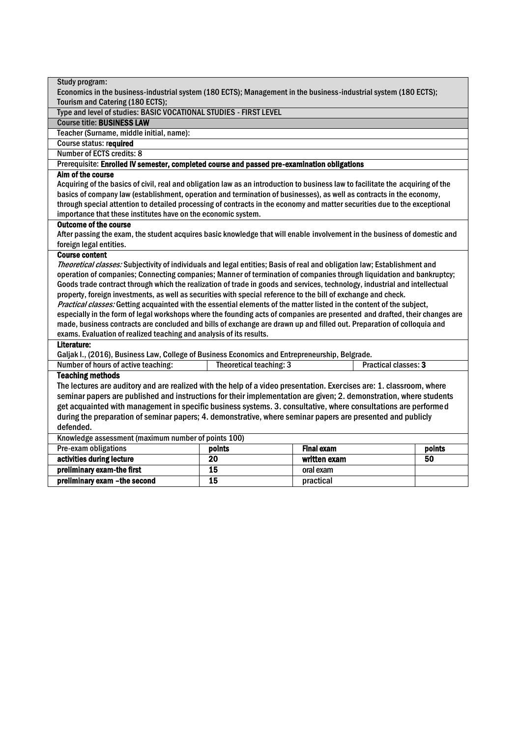| Study program:                                                                                                                  |                                                                                                                      |                   |                      |  |  |
|---------------------------------------------------------------------------------------------------------------------------------|----------------------------------------------------------------------------------------------------------------------|-------------------|----------------------|--|--|
| Economics in the business-industrial system (180 ECTS); Management in the business-industrial system (180 ECTS);                |                                                                                                                      |                   |                      |  |  |
| Tourism and Catering (180 ECTS);                                                                                                |                                                                                                                      |                   |                      |  |  |
| Type and level of studies: BASIC VOCATIONAL STUDIES - FIRST LEVEL                                                               |                                                                                                                      |                   |                      |  |  |
| <b>Course title: BUSINESS LAW</b>                                                                                               |                                                                                                                      |                   |                      |  |  |
| Teacher (Surname, middle initial, name):                                                                                        |                                                                                                                      |                   |                      |  |  |
| <b>Course status: required</b>                                                                                                  |                                                                                                                      |                   |                      |  |  |
| Number of ECTS credits: 8                                                                                                       |                                                                                                                      |                   |                      |  |  |
| Prerequisite: Enrolled IV semester, completed course and passed pre-examination obligations                                     |                                                                                                                      |                   |                      |  |  |
| Aim of the course                                                                                                               |                                                                                                                      |                   |                      |  |  |
| Acquiring of the basics of civil, real and obligation law as an introduction to business law to facilitate the acquiring of the |                                                                                                                      |                   |                      |  |  |
| basics of company law (establishment, operation and termination of businesses), as well as contracts in the economy,            |                                                                                                                      |                   |                      |  |  |
| through special attention to detailed processing of contracts in the economy and matter securities due to the exceptional       |                                                                                                                      |                   |                      |  |  |
| importance that these institutes have on the economic system.                                                                   |                                                                                                                      |                   |                      |  |  |
| <b>Outcome of the course</b>                                                                                                    |                                                                                                                      |                   |                      |  |  |
| After passing the exam, the student acquires basic knowledge that will enable involvement in the business of domestic and       |                                                                                                                      |                   |                      |  |  |
| foreign legal entities.                                                                                                         |                                                                                                                      |                   |                      |  |  |
| <b>Course content</b>                                                                                                           |                                                                                                                      |                   |                      |  |  |
| Theoretical classes: Subjectivity of individuals and legal entities; Basis of real and obligation law; Establishment and        |                                                                                                                      |                   |                      |  |  |
| operation of companies; Connecting companies; Manner of termination of companies through liquidation and bankruptcy;            |                                                                                                                      |                   |                      |  |  |
| Goods trade contract through which the realization of trade in goods and services, technology, industrial and intellectual      |                                                                                                                      |                   |                      |  |  |
| property, foreign investments, as well as securities with special reference to the bill of exchange and check.                  |                                                                                                                      |                   |                      |  |  |
| Practical classes: Getting acquainted with the essential elements of the matter listed in the content of the subject,           |                                                                                                                      |                   |                      |  |  |
| especially in the form of legal workshops where the founding acts of companies are presented and drafted, their changes are     |                                                                                                                      |                   |                      |  |  |
| made, business contracts are concluded and bills of exchange are drawn up and filled out. Preparation of colloquia and          |                                                                                                                      |                   |                      |  |  |
| exams. Evaluation of realized teaching and analysis of its results.                                                             |                                                                                                                      |                   |                      |  |  |
|                                                                                                                                 | Literature:                                                                                                          |                   |                      |  |  |
| Galjak I., (2016), Business Law, College of Business Economics and Entrepreneurship, Belgrade.                                  |                                                                                                                      |                   |                      |  |  |
| Number of hours of active teaching:                                                                                             | Theoretical teaching: 3                                                                                              |                   | Practical classes: 3 |  |  |
| <b>Teaching methods</b>                                                                                                         |                                                                                                                      |                   |                      |  |  |
|                                                                                                                                 | The lectures are auditory and are realized with the help of a video presentation. Exercises are: 1. classroom, where |                   |                      |  |  |
| seminar papers are published and instructions for their implementation are given; 2. demonstration, where students              |                                                                                                                      |                   |                      |  |  |
| get acquainted with management in specific business systems. 3. consultative, where consultations are performed                 |                                                                                                                      |                   |                      |  |  |
| during the preparation of seminar papers; 4. demonstrative, where seminar papers are presented and publicly                     |                                                                                                                      |                   |                      |  |  |
| defended.                                                                                                                       |                                                                                                                      |                   |                      |  |  |
| Knowledge assessment (maximum number of points 100)                                                                             |                                                                                                                      |                   |                      |  |  |
| Pre-exam obligations                                                                                                            | points                                                                                                               | <b>Final exam</b> | points               |  |  |
| activities during lecture                                                                                                       | $\overline{20}$                                                                                                      | written exam      | 50                   |  |  |
| preliminary exam-the first                                                                                                      | 15                                                                                                                   | oral exam         |                      |  |  |
| preliminary exam -the second                                                                                                    | 15                                                                                                                   | practical         |                      |  |  |
|                                                                                                                                 |                                                                                                                      |                   |                      |  |  |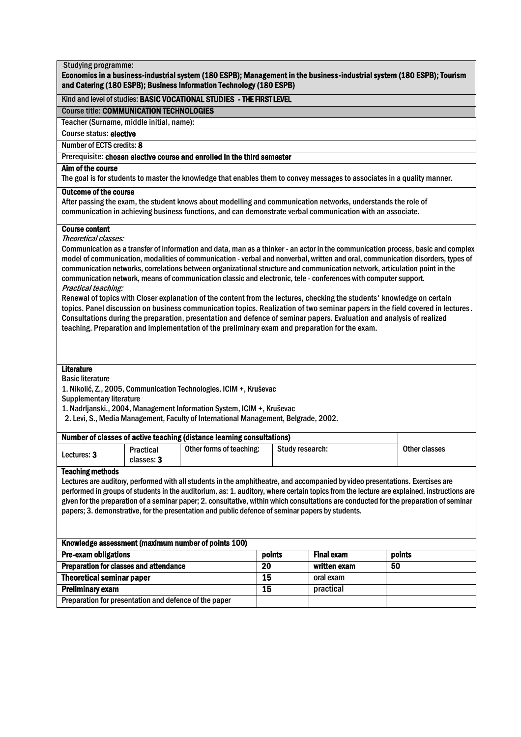| <b>Studying programme:</b><br>Economics in a business-industrial system (180 ESPB); Management in the business-industrial system (180 ESPB); Tourism<br>and Catering (180 ESPB); Business Information Technology (180 ESPB)                                                                                                                                                                                                                                                                                                                                                                                                                                                                                                                                                                                                                                                                                                                                                                                                                                                                                                                                                                                                                                                                                                                                 |            |                                                                                                                          |                 |  |                   |    |               |
|-------------------------------------------------------------------------------------------------------------------------------------------------------------------------------------------------------------------------------------------------------------------------------------------------------------------------------------------------------------------------------------------------------------------------------------------------------------------------------------------------------------------------------------------------------------------------------------------------------------------------------------------------------------------------------------------------------------------------------------------------------------------------------------------------------------------------------------------------------------------------------------------------------------------------------------------------------------------------------------------------------------------------------------------------------------------------------------------------------------------------------------------------------------------------------------------------------------------------------------------------------------------------------------------------------------------------------------------------------------|------------|--------------------------------------------------------------------------------------------------------------------------|-----------------|--|-------------------|----|---------------|
|                                                                                                                                                                                                                                                                                                                                                                                                                                                                                                                                                                                                                                                                                                                                                                                                                                                                                                                                                                                                                                                                                                                                                                                                                                                                                                                                                             |            | Kind and level of studies: BASIC VOCATIONAL STUDIES - THE FIRST LEVEL                                                    |                 |  |                   |    |               |
| <b>Course title: COMMUNICATION TECHNOLOGIES</b>                                                                                                                                                                                                                                                                                                                                                                                                                                                                                                                                                                                                                                                                                                                                                                                                                                                                                                                                                                                                                                                                                                                                                                                                                                                                                                             |            |                                                                                                                          |                 |  |                   |    |               |
| Teacher (Surname, middle initial, name):                                                                                                                                                                                                                                                                                                                                                                                                                                                                                                                                                                                                                                                                                                                                                                                                                                                                                                                                                                                                                                                                                                                                                                                                                                                                                                                    |            |                                                                                                                          |                 |  |                   |    |               |
| <b>Course status: elective</b>                                                                                                                                                                                                                                                                                                                                                                                                                                                                                                                                                                                                                                                                                                                                                                                                                                                                                                                                                                                                                                                                                                                                                                                                                                                                                                                              |            |                                                                                                                          |                 |  |                   |    |               |
| Number of ECTS credits: 8                                                                                                                                                                                                                                                                                                                                                                                                                                                                                                                                                                                                                                                                                                                                                                                                                                                                                                                                                                                                                                                                                                                                                                                                                                                                                                                                   |            |                                                                                                                          |                 |  |                   |    |               |
|                                                                                                                                                                                                                                                                                                                                                                                                                                                                                                                                                                                                                                                                                                                                                                                                                                                                                                                                                                                                                                                                                                                                                                                                                                                                                                                                                             |            | Prerequisite: chosen elective course and enrolled in the third semester                                                  |                 |  |                   |    |               |
| Aim of the course                                                                                                                                                                                                                                                                                                                                                                                                                                                                                                                                                                                                                                                                                                                                                                                                                                                                                                                                                                                                                                                                                                                                                                                                                                                                                                                                           |            | The goal is for students to master the knowledge that enables them to convey messages to associates in a quality manner. |                 |  |                   |    |               |
| <b>Outcome of the course</b>                                                                                                                                                                                                                                                                                                                                                                                                                                                                                                                                                                                                                                                                                                                                                                                                                                                                                                                                                                                                                                                                                                                                                                                                                                                                                                                                |            | After passing the exam, the student knows about modelling and communication networks, understands the role of            |                 |  |                   |    |               |
| communication in achieving business functions, and can demonstrate verbal communication with an associate.<br><b>Course content</b><br>Theoretical classes:<br>Communication as a transfer of information and data, man as a thinker - an actor in the communication process, basic and complex<br>model of communication, modalities of communication - verbal and nonverbal, written and oral, communication disorders, types of<br>communication networks, correlations between organizational structure and communication network, articulation point in the<br>communication network, means of communication classic and electronic, tele - conferences with computer support.<br>Practical teaching:<br>Renewal of topics with Closer explanation of the content from the lectures, checking the students' knowledge on certain<br>topics. Panel discussion on business communication topics. Realization of two seminar papers in the field covered in lectures.<br>Consultations during the preparation, presentation and defence of seminar papers. Evaluation and analysis of realized<br>teaching. Preparation and implementation of the preliminary exam and preparation for the exam.<br><b>Literature</b><br><b>Basic literature</b><br>1. Nikolić, Z., 2005, Communication Technologies, ICIM +, Kruševac<br><b>Supplementary literature</b> |            |                                                                                                                          |                 |  |                   |    |               |
|                                                                                                                                                                                                                                                                                                                                                                                                                                                                                                                                                                                                                                                                                                                                                                                                                                                                                                                                                                                                                                                                                                                                                                                                                                                                                                                                                             |            | 2. Levi, S., Media Management, Faculty of International Management, Belgrade, 2002.                                      |                 |  |                   |    |               |
|                                                                                                                                                                                                                                                                                                                                                                                                                                                                                                                                                                                                                                                                                                                                                                                                                                                                                                                                                                                                                                                                                                                                                                                                                                                                                                                                                             |            | Number of classes of active teaching (distance learning consultations)                                                   |                 |  |                   |    |               |
| Lectures: 3                                                                                                                                                                                                                                                                                                                                                                                                                                                                                                                                                                                                                                                                                                                                                                                                                                                                                                                                                                                                                                                                                                                                                                                                                                                                                                                                                 | classes: 3 | Practical Other forms of teaching: Study research:                                                                       |                 |  |                   |    | Other classes |
| <b>Teaching methods</b><br>Lectures are auditory, performed with all students in the amphitheatre, and accompanied by video presentations. Exercises are<br>performed in groups of students in the auditorium, as: 1. auditory, where certain topics from the lecture are explained, instructions are<br>given for the preparation of a seminar paper; 2. consultative, within which consultations are conducted for the preparation of seminar<br>papers; 3. demonstrative, for the presentation and public defence of seminar papers by students.                                                                                                                                                                                                                                                                                                                                                                                                                                                                                                                                                                                                                                                                                                                                                                                                         |            |                                                                                                                          |                 |  |                   |    |               |
|                                                                                                                                                                                                                                                                                                                                                                                                                                                                                                                                                                                                                                                                                                                                                                                                                                                                                                                                                                                                                                                                                                                                                                                                                                                                                                                                                             |            | Knowledge assessment (maximum number of points 100)                                                                      |                 |  |                   |    |               |
| Pre-exam obligations                                                                                                                                                                                                                                                                                                                                                                                                                                                                                                                                                                                                                                                                                                                                                                                                                                                                                                                                                                                                                                                                                                                                                                                                                                                                                                                                        |            |                                                                                                                          | points          |  | <b>Final exam</b> |    | points        |
| <b>Preparation for classes and attendance</b>                                                                                                                                                                                                                                                                                                                                                                                                                                                                                                                                                                                                                                                                                                                                                                                                                                                                                                                                                                                                                                                                                                                                                                                                                                                                                                               |            |                                                                                                                          | 20              |  | written exam      | 50 |               |
| <b>Theoretical seminar paper</b>                                                                                                                                                                                                                                                                                                                                                                                                                                                                                                                                                                                                                                                                                                                                                                                                                                                                                                                                                                                                                                                                                                                                                                                                                                                                                                                            |            |                                                                                                                          | 15              |  | oral exam         |    |               |
| <b>Preliminary exam</b>                                                                                                                                                                                                                                                                                                                                                                                                                                                                                                                                                                                                                                                                                                                                                                                                                                                                                                                                                                                                                                                                                                                                                                                                                                                                                                                                     |            |                                                                                                                          | $\overline{15}$ |  | practical         |    |               |
| Preparation for presentation and defence of the paper                                                                                                                                                                                                                                                                                                                                                                                                                                                                                                                                                                                                                                                                                                                                                                                                                                                                                                                                                                                                                                                                                                                                                                                                                                                                                                       |            |                                                                                                                          |                 |  |                   |    |               |
|                                                                                                                                                                                                                                                                                                                                                                                                                                                                                                                                                                                                                                                                                                                                                                                                                                                                                                                                                                                                                                                                                                                                                                                                                                                                                                                                                             |            |                                                                                                                          |                 |  |                   |    |               |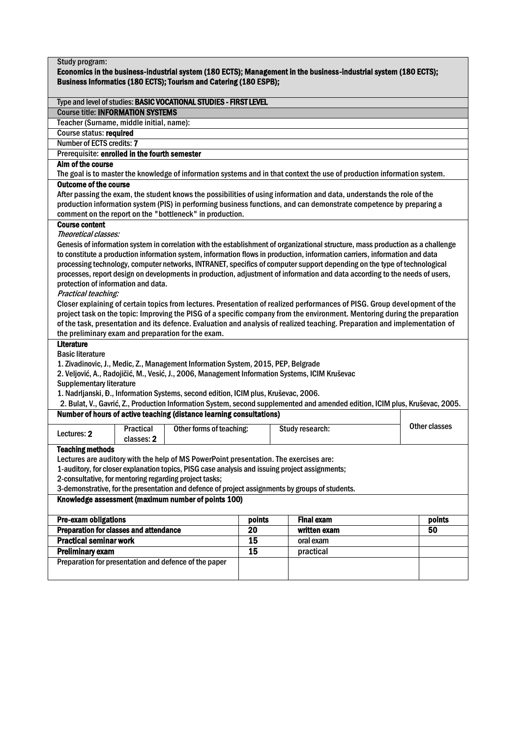| Study program:<br>Economics in the business-industrial system (180 ECTS); Management in the business-industrial system (180 ECTS);<br>Business Informatics (180 ECTS); Tourism and Catering (180 ESPB);                                                                                                                                                                                                                                                                                                                                                                                                                                                                                                                                                                                                                                                                                                                                                                                                  |                         |                                                                      |          |  |                                                                                                                                                                                                                                               |  |               |
|----------------------------------------------------------------------------------------------------------------------------------------------------------------------------------------------------------------------------------------------------------------------------------------------------------------------------------------------------------------------------------------------------------------------------------------------------------------------------------------------------------------------------------------------------------------------------------------------------------------------------------------------------------------------------------------------------------------------------------------------------------------------------------------------------------------------------------------------------------------------------------------------------------------------------------------------------------------------------------------------------------|-------------------------|----------------------------------------------------------------------|----------|--|-----------------------------------------------------------------------------------------------------------------------------------------------------------------------------------------------------------------------------------------------|--|---------------|
|                                                                                                                                                                                                                                                                                                                                                                                                                                                                                                                                                                                                                                                                                                                                                                                                                                                                                                                                                                                                          |                         | Type and level of studies: BASIC VOCATIONAL STUDIES - FIRST LEVEL    |          |  |                                                                                                                                                                                                                                               |  |               |
| <b>Course title: INFORMATION SYSTEMS</b>                                                                                                                                                                                                                                                                                                                                                                                                                                                                                                                                                                                                                                                                                                                                                                                                                                                                                                                                                                 |                         |                                                                      |          |  |                                                                                                                                                                                                                                               |  |               |
| Teacher (Surname, middle initial, name):                                                                                                                                                                                                                                                                                                                                                                                                                                                                                                                                                                                                                                                                                                                                                                                                                                                                                                                                                                 |                         |                                                                      |          |  |                                                                                                                                                                                                                                               |  |               |
| <b>Course status: required</b>                                                                                                                                                                                                                                                                                                                                                                                                                                                                                                                                                                                                                                                                                                                                                                                                                                                                                                                                                                           |                         |                                                                      |          |  |                                                                                                                                                                                                                                               |  |               |
| Number of ECTS credits: 7                                                                                                                                                                                                                                                                                                                                                                                                                                                                                                                                                                                                                                                                                                                                                                                                                                                                                                                                                                                |                         |                                                                      |          |  |                                                                                                                                                                                                                                               |  |               |
| Prerequisite: enrolled in the fourth semester                                                                                                                                                                                                                                                                                                                                                                                                                                                                                                                                                                                                                                                                                                                                                                                                                                                                                                                                                            |                         |                                                                      |          |  |                                                                                                                                                                                                                                               |  |               |
| Aim of the course                                                                                                                                                                                                                                                                                                                                                                                                                                                                                                                                                                                                                                                                                                                                                                                                                                                                                                                                                                                        |                         |                                                                      |          |  |                                                                                                                                                                                                                                               |  |               |
|                                                                                                                                                                                                                                                                                                                                                                                                                                                                                                                                                                                                                                                                                                                                                                                                                                                                                                                                                                                                          |                         |                                                                      |          |  | The goal is to master the knowledge of information systems and in that context the use of production information system.                                                                                                                      |  |               |
| <b>Outcome of the course</b><br><b>Course content</b>                                                                                                                                                                                                                                                                                                                                                                                                                                                                                                                                                                                                                                                                                                                                                                                                                                                                                                                                                    |                         | comment on the report on the "bottleneck" in production.             |          |  | After passing the exam, the student knows the possibilities of using information and data, understands the role of the<br>production information system (PIS) in performing business functions, and can demonstrate competence by preparing a |  |               |
| Theoretical classes:<br>Genesis of information system in correlation with the establishment of organizational structure, mass production as a challenge<br>to constitute a production information system, information flows in production, information carriers, information and data<br>processing technology, computer networks, INTRANET, specifics of computer support depending on the type of technological<br>processes, report design on developments in production, adjustment of information and data according to the needs of users,<br>protection of information and data.<br>Practical teaching:<br>Closer explaining of certain topics from lectures. Presentation of realized performances of PISG. Group development of the<br>project task on the topic: Improving the PISG of a specific company from the environment. Mentoring during the preparation<br>of the task, presentation and its defence. Evaluation and analysis of realized teaching. Preparation and implementation of |                         |                                                                      |          |  |                                                                                                                                                                                                                                               |  |               |
| the preliminary exam and preparation for the exam.<br><b>Literature</b><br><b>Basic literature</b><br>1. Zivadinovic, J., Medic, Z., Management Information System, 2015, PEP, Belgrade<br>2. Veljović, A., Radojičić, M., Vesić, J., 2006, Management Information Systems, ICIM Kruševac<br><b>Supplementary literature</b><br>1. Nadrijanski, Đ., Information Systems, second edition, ICIM plus, Kruševac, 2006.                                                                                                                                                                                                                                                                                                                                                                                                                                                                                                                                                                                      |                         |                                                                      |          |  |                                                                                                                                                                                                                                               |  |               |
|                                                                                                                                                                                                                                                                                                                                                                                                                                                                                                                                                                                                                                                                                                                                                                                                                                                                                                                                                                                                          |                         | Number of hours of active teaching (distance learning consultations) |          |  | 2. Bulat, V., Gavrić, Z., Production Information System, second supplemented and amended edition, ICIM plus, Kruševac, 2005.                                                                                                                  |  |               |
| Lectures: 2                                                                                                                                                                                                                                                                                                                                                                                                                                                                                                                                                                                                                                                                                                                                                                                                                                                                                                                                                                                              | Practical<br>classes: 2 | Other forms of teaching:                                             |          |  | Study research:                                                                                                                                                                                                                               |  | Other classes |
| <b>Teaching methods</b><br>Lectures are auditory with the help of MS PowerPoint presentation. The exercises are:<br>1-auditory, for closer explanation topics, PISG case analysis and issuing project assignments;<br>2-consultative, for mentoring regarding project tasks;<br>3-demonstrative, for the presentation and defence of project assignments by groups of students.<br>Knowledge assessment (maximum number of points 100)                                                                                                                                                                                                                                                                                                                                                                                                                                                                                                                                                                   |                         |                                                                      |          |  |                                                                                                                                                                                                                                               |  |               |
|                                                                                                                                                                                                                                                                                                                                                                                                                                                                                                                                                                                                                                                                                                                                                                                                                                                                                                                                                                                                          |                         |                                                                      |          |  |                                                                                                                                                                                                                                               |  |               |
| Pre-exam obligations<br><b>Final exam</b><br>points<br>points<br><b>Preparation for classes and attendance</b>                                                                                                                                                                                                                                                                                                                                                                                                                                                                                                                                                                                                                                                                                                                                                                                                                                                                                           |                         |                                                                      |          |  |                                                                                                                                                                                                                                               |  |               |
| <b>Practical seminar work</b>                                                                                                                                                                                                                                                                                                                                                                                                                                                                                                                                                                                                                                                                                                                                                                                                                                                                                                                                                                            |                         |                                                                      | 20<br>15 |  | written exam<br>oral exam                                                                                                                                                                                                                     |  | 50            |
|                                                                                                                                                                                                                                                                                                                                                                                                                                                                                                                                                                                                                                                                                                                                                                                                                                                                                                                                                                                                          |                         |                                                                      | 15       |  |                                                                                                                                                                                                                                               |  |               |
| <b>Preliminary exam</b>                                                                                                                                                                                                                                                                                                                                                                                                                                                                                                                                                                                                                                                                                                                                                                                                                                                                                                                                                                                  |                         | Preparation for presentation and defence of the paper                |          |  | practical                                                                                                                                                                                                                                     |  |               |
|                                                                                                                                                                                                                                                                                                                                                                                                                                                                                                                                                                                                                                                                                                                                                                                                                                                                                                                                                                                                          |                         |                                                                      |          |  |                                                                                                                                                                                                                                               |  |               |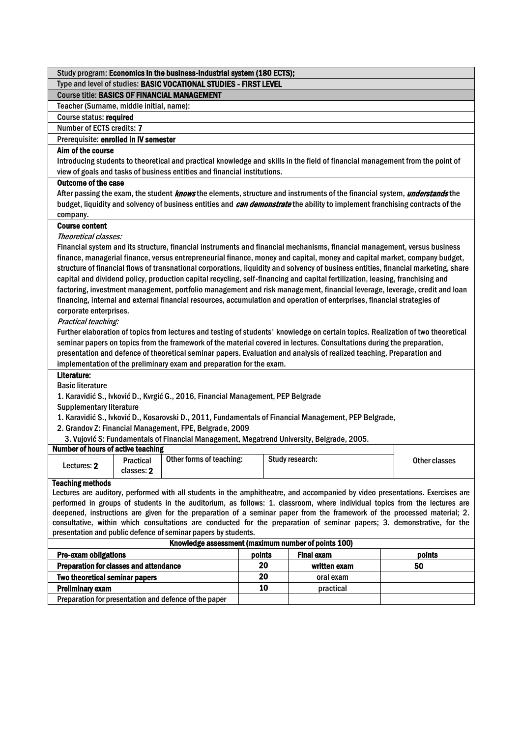| Study program: Economics in the business-industrial system (180 ECTS);                                                                                                                                                                                 |        |    |                   |               |  |
|--------------------------------------------------------------------------------------------------------------------------------------------------------------------------------------------------------------------------------------------------------|--------|----|-------------------|---------------|--|
| Type and level of studies: BASIC VOCATIONAL STUDIES - FIRST LEVEL                                                                                                                                                                                      |        |    |                   |               |  |
| <b>Course title: BASICS OF FINANCIAL MANAGEMENT</b>                                                                                                                                                                                                    |        |    |                   |               |  |
| Teacher (Surname, middle initial, name):                                                                                                                                                                                                               |        |    |                   |               |  |
| Course status: required                                                                                                                                                                                                                                |        |    |                   |               |  |
| Number of ECTS credits: 7                                                                                                                                                                                                                              |        |    |                   |               |  |
| Prerequisite: enrolled in IV semester                                                                                                                                                                                                                  |        |    |                   |               |  |
| Aim of the course                                                                                                                                                                                                                                      |        |    |                   |               |  |
| Introducing students to theoretical and practical knowledge and skills in the field of financial management from the point of                                                                                                                          |        |    |                   |               |  |
| view of goals and tasks of business entities and financial institutions.                                                                                                                                                                               |        |    |                   |               |  |
| <b>Outcome of the case</b>                                                                                                                                                                                                                             |        |    |                   |               |  |
| After passing the exam, the student knows the elements, structure and instruments of the financial system, understands the                                                                                                                             |        |    |                   |               |  |
| budget, liquidity and solvency of business entities and can demonstrate the ability to implement franchising contracts of the                                                                                                                          |        |    |                   |               |  |
| company.                                                                                                                                                                                                                                               |        |    |                   |               |  |
| <b>Course content</b>                                                                                                                                                                                                                                  |        |    |                   |               |  |
| Theoretical classes:                                                                                                                                                                                                                                   |        |    |                   |               |  |
| Financial system and its structure, financial instruments and financial mechanisms, financial management, versus business                                                                                                                              |        |    |                   |               |  |
| finance, managerial finance, versus entrepreneurial finance, money and capital, money and capital market, company budget,                                                                                                                              |        |    |                   |               |  |
| structure of financial flows of transnational corporations, liquidity and solvency of business entities, financial marketing, share                                                                                                                    |        |    |                   |               |  |
| capital and dividend policy, production capital recycling, self-financing and capital fertilization, leasing, franchising and                                                                                                                          |        |    |                   |               |  |
| factoring, investment management, portfolio management and risk management, financial leverage, leverage, credit and loan                                                                                                                              |        |    |                   |               |  |
| financing, internal and external financial resources, accumulation and operation of enterprises, financial strategies of                                                                                                                               |        |    |                   |               |  |
| corporate enterprises.                                                                                                                                                                                                                                 |        |    |                   |               |  |
| Practical teaching:                                                                                                                                                                                                                                    |        |    |                   |               |  |
| Further elaboration of topics from lectures and testing of students' knowledge on certain topics. Realization of two theoretical                                                                                                                       |        |    |                   |               |  |
| seminar papers on topics from the framework of the material covered in lectures. Consultations during the preparation,                                                                                                                                 |        |    |                   |               |  |
| presentation and defence of theoretical seminar papers. Evaluation and analysis of realized teaching. Preparation and                                                                                                                                  |        |    |                   |               |  |
| implementation of the preliminary exam and preparation for the exam.                                                                                                                                                                                   |        |    |                   |               |  |
| Literature:                                                                                                                                                                                                                                            |        |    |                   |               |  |
| <b>Basic literature</b>                                                                                                                                                                                                                                |        |    |                   |               |  |
| 1. Karavidić S., Ivković D., Kvrgić G., 2016, Financial Management, PEP Belgrade                                                                                                                                                                       |        |    |                   |               |  |
| <b>Supplementary literature</b>                                                                                                                                                                                                                        |        |    |                   |               |  |
| 1. Karavidić S., Ivković D., Kosarovski D., 2011, Fundamentals of Financial Management, PEP Belgrade,                                                                                                                                                  |        |    |                   |               |  |
| 2. Grandov Z: Financial Management, FPE, Belgrade, 2009                                                                                                                                                                                                |        |    |                   |               |  |
| 3. Vujović S: Fundamentals of Financial Management, Megatrend University, Belgrade, 2005.                                                                                                                                                              |        |    |                   |               |  |
| <b>Number of hours of active teaching</b><br>Other forms of teaching:                                                                                                                                                                                  |        |    | Study research:   |               |  |
| Practical<br>Lectures: 2                                                                                                                                                                                                                               |        |    |                   | Other classes |  |
| classes: 2                                                                                                                                                                                                                                             |        |    |                   |               |  |
| <b>Teaching methods</b>                                                                                                                                                                                                                                |        |    |                   |               |  |
| Lectures are auditory, performed with all students in the amphitheatre, and accompanied by video presentations. Exercises are                                                                                                                          |        |    |                   |               |  |
| performed in groups of students in the auditorium, as follows: 1. classroom, where individual topics from the lectures are<br>deepened, instructions are given for the preparation of a seminar paper from the framework of the processed material; 2. |        |    |                   |               |  |
| consultative, within which consultations are conducted for the preparation of seminar papers; 3. demonstrative, for the                                                                                                                                |        |    |                   |               |  |
| presentation and public defence of seminar papers by students.                                                                                                                                                                                         |        |    |                   |               |  |
| Knowledge assessment (maximum number of points 100)                                                                                                                                                                                                    |        |    |                   |               |  |
| <b>Pre-exam obligations</b>                                                                                                                                                                                                                            | points |    | <b>Final exam</b> | points        |  |
| Preparation for classes and attendance                                                                                                                                                                                                                 |        | 20 | written exam      | 50            |  |
| Two theoretical seminar papers                                                                                                                                                                                                                         |        | 20 | oral exam         |               |  |
| <b>Preliminary exam</b>                                                                                                                                                                                                                                |        | 10 | practical         |               |  |
| Preparation for presentation and defence of the paper                                                                                                                                                                                                  |        |    |                   |               |  |
|                                                                                                                                                                                                                                                        |        |    |                   |               |  |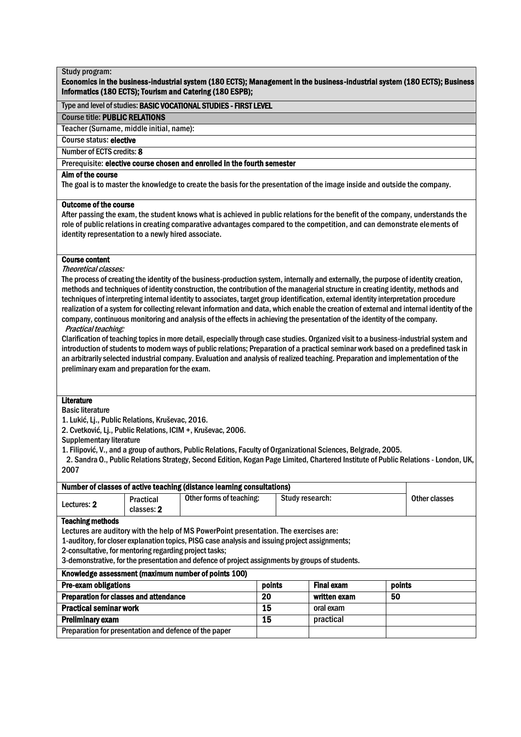# Economics in the business-industrial system (180 ECTS); Management in the business-industrial system (180 ECTS); Business Informatics (180 ECTS); Tourism and Catering (180 ESPB);

# Type and level of studies: BASIC VOCATIONAL STUDIES - FIRST LEVEL

#### Course title: PUBLIC RELATIONS

Teacher (Surname, middle initial, name):

Course status: elective

Number of ECTS credits: 8

# Prerequisite: elective course chosen and enrolled in the fourth semester

# Aim of the course

The goal is to master the knowledge to create the basis for the presentation of the image inside and outside the company.

#### Outcome of the course

After passing the exam, the student knows what is achieved in public relations for the benefit of the company, understands the role of public relations in creating comparative advantages compared to the competition, and can demonstrate elements of identity representation to a newly hired associate.

# Course content

Theoretical classes:

The process of creating the identity of the business-production system, internally and externally, the purpose of identity creation, methods and techniques of identity construction, the contribution of the managerial structure in creating identity, methods and techniques of interpreting internal identity to associates, target group identification, external identity interpretation procedure realization of a system for collecting relevant information and data, which enable the creation of external and internal identity of the company, continuous monitoring and analysis of the effects in achieving the presentation of the identity of the company. Practical teaching:

Clarification of teaching topics in more detail, especially through case studies. Organized visit to a business-industrial system and introduction of students to modern ways of public relations; Preparation of a practical seminar work based on a predefined task in an arbitrarily selected industrial company. Evaluation and analysis of realized teaching. Preparation and implementation of the preliminary exam and preparation for the exam.

# **Literature**

#### Basic literature

1. Lukić, Lj., Public Relations, Kruševac, 2016.

2. Cvetković, Lj., Public Relations, ICIM +, Kruševac, 2006.

Supplementary literature

1. Filipović, V., and a group of authors, Public Relations, Faculty of Organizational Sciences, Belgrade, 2005.

 2. Sandra O., Public Relations Strategy, Second Edition, Kogan Page Limited, Chartered Institute of Public Relations - London, UK, 2007

| Number of classes of active teaching (distance learning consultations)    |            |                                                                                                 |                 |           |  |               |
|---------------------------------------------------------------------------|------------|-------------------------------------------------------------------------------------------------|-----------------|-----------|--|---------------|
| Lectures: 2                                                               | Practical  | Other forms of teaching:                                                                        | Study research: |           |  | Other classes |
|                                                                           | classes: 2 |                                                                                                 |                 |           |  |               |
| <b>Teaching methods</b>                                                   |            |                                                                                                 |                 |           |  |               |
|                                                                           |            | Lectures are auditory with the help of MS PowerPoint presentation. The exercises are:           |                 |           |  |               |
|                                                                           |            | 1-auditory, for closer explanation topics, PISG case analysis and issuing project assignments;  |                 |           |  |               |
| 2-consultative, for mentoring regarding project tasks;                    |            |                                                                                                 |                 |           |  |               |
|                                                                           |            | 3-demonstrative, for the presentation and defence of project assignments by groups of students. |                 |           |  |               |
|                                                                           |            | Knowledge assessment (maximum number of points 100)                                             |                 |           |  |               |
| <b>Pre-exam obligations</b><br>points<br><b>Final exam</b><br>points      |            |                                                                                                 |                 |           |  |               |
| <b>Preparation for classes and attendance</b><br>20<br>50<br>written exam |            |                                                                                                 |                 |           |  |               |
| 15<br><b>Practical seminar work</b><br>oral exam                          |            |                                                                                                 |                 |           |  |               |
| <b>Preliminary exam</b>                                                   |            | 15                                                                                              |                 | practical |  |               |
| Preparation for presentation and defence of the paper                     |            |                                                                                                 |                 |           |  |               |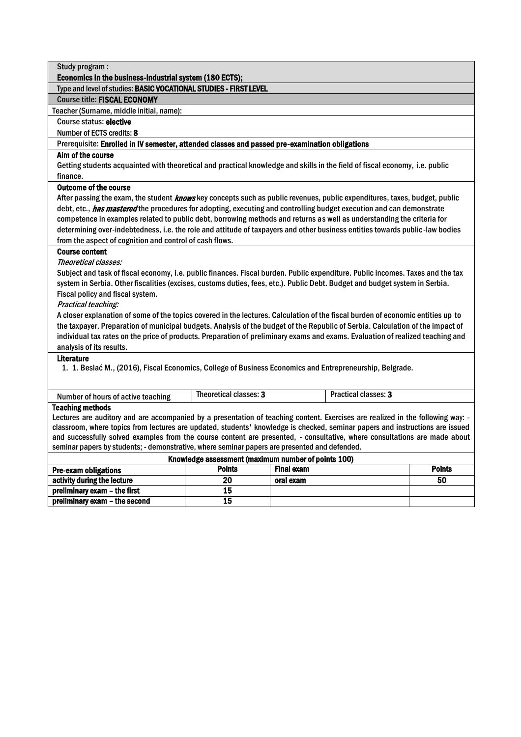| Type and level of studies: BASIC VOCATIONAL STUDIES - FIRST LEVEL |                                                                                                                                   |
|-------------------------------------------------------------------|-----------------------------------------------------------------------------------------------------------------------------------|
| <b>Course title: FISCAL ECONOMY</b>                               |                                                                                                                                   |
| Teacher (Surname, middle initial, name):                          |                                                                                                                                   |
| Course status: elective                                           |                                                                                                                                   |
| Number of ECTS credits: 8                                         |                                                                                                                                   |
|                                                                   | Prerequisite: Enrolled in IV semester, attended classes and passed pre-examination obligations                                    |
| Aim of the course                                                 |                                                                                                                                   |
|                                                                   | Getting students acquainted with theoretical and practical knowledge and skills in the field of fiscal economy, i.e. public       |
| finance.                                                          |                                                                                                                                   |
| <b>Outcome of the course</b>                                      |                                                                                                                                   |
|                                                                   | After passing the exam, the student <b>knows</b> key concepts such as public revenues, public expenditures, taxes, budget, public |
|                                                                   | debt, etc., <i>has mastered</i> the procedures for adopting, executing and controlling budget execution and can demonstrate       |
|                                                                   | competence in examples related to public debt, borrowing methods and returns as well as understanding the criteria for            |
|                                                                   | determining over-indebtedness, i.e. the role and attitude of taxpayers and other business entities towards public-law bodies      |
| from the aspect of cognition and control of cash flows.           |                                                                                                                                   |
| <b>Course content</b>                                             |                                                                                                                                   |
| Theoretical classes:                                              |                                                                                                                                   |
|                                                                   | Subject and task of fiscal economy, i.e. public finances. Fiscal burden. Public expenditure. Public incomes. Taxes and the tax    |
|                                                                   | system in Serbia. Other fiscalities (excises, customs duties, fees, etc.). Public Debt. Budget and budget system in Serbia.       |
| Fiscal policy and fiscal system.                                  |                                                                                                                                   |
| Practical teaching:                                               |                                                                                                                                   |
|                                                                   | A closer explanation of some of the topics covered in the lectures. Calculation of the fiscal burden of economic entities up to   |
|                                                                   | the taxpayer. Preparation of municipal budgets. Analysis of the budget of the Republic of Serbia. Calculation of the impact of    |
|                                                                   | individual tax rates on the price of products. Preparation of preliminary exams and exams. Evaluation of realized teaching and    |
| analysis of its results.<br><b>Literature</b>                     |                                                                                                                                   |

Number of hours of active teaching | Theoretical classes: 3 | Practical classes: 3

# Teaching methods

Lectures are auditory and are accompanied by a presentation of teaching content. Exercises are realized in the following way: classroom, where topics from lectures are updated, students' knowledge is checked, seminar papers and instructions are issued and successfully solved examples from the course content are presented, - consultative, where consultations are made about seminar papers by students; - demonstrative, where seminar papers are presented and defended.

| Knowledge assessment (maximum number of points 100)                                |    |           |    |  |  |  |  |
|------------------------------------------------------------------------------------|----|-----------|----|--|--|--|--|
| <b>Points</b><br><b>Final exam</b><br><b>Points</b><br><b>Pre-exam obligations</b> |    |           |    |  |  |  |  |
| activity during the lecture                                                        | 20 | oral exam | 50 |  |  |  |  |
| preliminary exam - the first                                                       | 15 |           |    |  |  |  |  |
| preliminary exam - the second                                                      | 15 |           |    |  |  |  |  |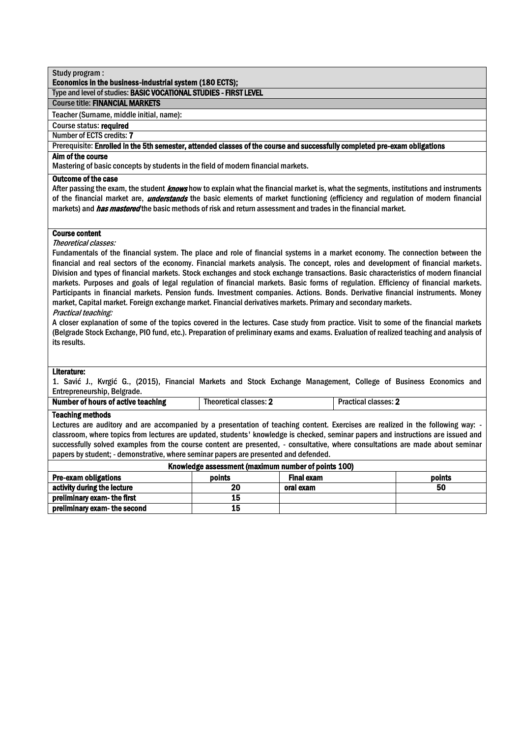# Economics in the business-industrial system (180 ECTS);

# Type and level of studies: BASIC VOCATIONAL STUDIES - FIRST LEVEL

# Course title: FINANCIAL MARKETS

Teacher (Surname, middle initial, name):

# Course status: required

## Number of ECTS credits: 7

Prerequisite: Enrolled in the 5th semester, attended classes of the course and successfully completed pre-exam obligations

# Aim of the course

Mastering of basic concepts by students in the field of modern financial markets.

# Outcome of the case

After passing the exam, the student *knows* how to explain what the financial market is, what the segments, institutions and instruments of the financial market are, *understands* the basic elements of market functioning (efficiency and regulation of modern financial markets) and *has mastered* the basic methods of risk and return assessment and trades in the financial market.

#### Course content

#### Theoretical classes:

Fundamentals of the financial system. The place and role of financial systems in a market economy. The connection between the financial and real sectors of the economy. Financial markets analysis. The concept, roles and development of financial markets. Division and types of financial markets. Stock exchanges and stock exchange transactions. Basic characteristics of modern financial markets. Purposes and goals of legal regulation of financial markets. Basic forms of regulation. Efficiency of financial markets. Participants in financial markets. Pension funds. Investment companies. Actions. Bonds. Derivative financial instruments. Money market, Capital market. Foreign exchange market. Financial derivatives markets. Primary and secondary markets. Practical teaching:

A closer explanation of some of the topics covered in the lectures. Case study from practice. Visit to some of the financial markets (Belgrade Stock Exchange, PIO fund, etc.). Preparation of preliminary exams and exams. Evaluation of realized teaching and analysis of its results.

# Literature:

1. Savić J., Kvrgić G., (2015), Financial Markets and Stock Exchange Management, College of Business Economics and Entrepreneurship, Belgrade.

| Number of hours of active teaching | Theoretical classes: 2 | Practical classes: |
|------------------------------------|------------------------|--------------------|
| $\sim$                             |                        |                    |

#### Teaching methods

Lectures are auditory and are accompanied by a presentation of teaching content. Exercises are realized in the following way: classroom, where topics from lectures are updated, students' knowledge is checked, seminar papers and instructions are issued and successfully solved examples from the course content are presented, - consultative, where consultations are made about seminar papers by student; - demonstrative, where seminar papers are presented and defended.

| Knowledge assessment (maximum number of points 100) |        |            |        |  |  |
|-----------------------------------------------------|--------|------------|--------|--|--|
| <b>Pre-exam obligations</b>                         | points | Final exam | points |  |  |
| activity during the lecture                         | 20     | oral exam  | 50     |  |  |
| preliminary exam-the first                          | 15     |            |        |  |  |
| preliminary exam-the second                         | 15     |            |        |  |  |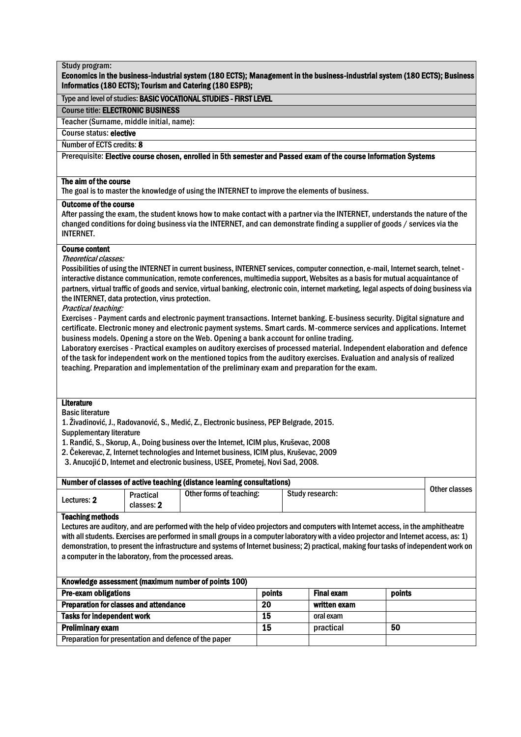# Economics in the business-industrial system (180 ECTS); Management in the business-industrial system (180 ECTS); Business Informatics (180 ECTS); Tourism and Catering (180 ESPB);

#### Type and level of studies: BASIC VOCATIONAL STUDIES - FIRST LEVEL

Course title: ELECTRONIC BUSINESS

Teacher (Surname, middle initial, name):

Course status: elective

Number of ECTS credits: 8

# Number of ECTS credits: 8<br>Prerequisite: Elective course chosen, enrolled in 5th semester and Passed exam of the course Informati Prerequisite: El<mark>ective course chosen, enrolled in 5th semester and Passed exam of the course Information Systems</mark><br>-

#### The aim of the course

The goal is to master the knowledge of using the INTERNET to improve the elements of business.

#### Outcome of the course

After passing the exam, the student knows how to make contact with a partner via the INTERNET, understands the nature of the changed conditions for doing business via the INTERNET, and can demonstrate finding a supplier of goods / services via the INTERNET.

#### Course content

Theoretical classes:

Possibilities of using the INTERNET in current business, INTERNET services, computer connection, e-mail, Internet search, telnet interactive distance communication, remote conferences, multimedia support, Websites as a basis for mutual acquaintance of partners, virtual traffic of goods and service, virtual banking, electronic coin, internet marketing, legal aspects of doing business via the INTERNET, data protection, virus protection.

Practical teaching:

Exercises - Payment cards and electronic payment transactions. Internet banking. E-business security. Digital signature and certificate. Electronic money and electronic payment systems. Smart cards. M-commerce services and applications. Internet business models. Opening a store on the Web. Opening a bank account for online trading.

Laboratory exercises - Practical examples on auditory exercises of processed material. Independent elaboration and defence of the task for independent work on the mentioned topics from the auditory exercises. Evaluation and analysis of realized teaching. Preparation and implementation of the preliminary exam and preparation for the exam.

# Literature

Basic literature

1. Živadinović, J., Radovanović, S., Medić, Z., Electronic business, PEP Belgrade, 2015.

Supplementary literature

1. Ranđić, S., Skorup, A., Doing business over the Internet, ICIM plus, Kruševac, 2008

2. Čekerevac, Z, Internet technologies and Internet business, ICIM plus, Kruševac, 2009

3. Anucojić D, Internet and electronic business, USEE, Prometej, Novi Sad, 2008.

| Number of classes of active teaching (distance learning consultations) |                                |                          |                 |               |
|------------------------------------------------------------------------|--------------------------------|--------------------------|-----------------|---------------|
| Lectures: 2                                                            | <b>Practical</b><br>classes: 2 | Other forms of teaching: | Study research: | Other classes |

#### Teaching methods

Lectures are auditory, and are performed with the help of video projectors and computers with Internet access, in the amphitheatre with all students. Exercises are performed in small groups in a computer laboratory with a video projector and Internet access, as: 1) demonstration, to present the infrastructure and systems of Internet business; 2) practical, making four tasks of independent work on a computer in the laboratory, from the processed areas.

| Knowledge assessment (maximum number of points 100)   |        |                   |        |  |
|-------------------------------------------------------|--------|-------------------|--------|--|
| <b>Pre-exam obligations</b>                           | points | <b>Final exam</b> | points |  |
| <b>Preparation for classes and attendance</b>         | 20     | written exam      |        |  |
| <b>Tasks for independent work</b>                     | 15     | oral exam         |        |  |
| <b>Preliminary exam</b>                               | 15     | practical         | 50     |  |
| Preparation for presentation and defence of the paper |        |                   |        |  |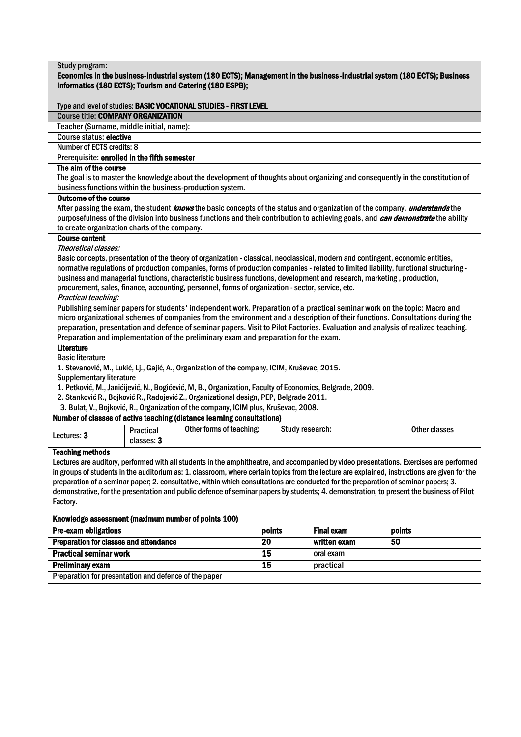| Study program:                                                                                                                                                                        |            |                                                                                                                                               |                 |                   |        |               |  |  |
|---------------------------------------------------------------------------------------------------------------------------------------------------------------------------------------|------------|-----------------------------------------------------------------------------------------------------------------------------------------------|-----------------|-------------------|--------|---------------|--|--|
| Economics in the business-industrial system (180 ECTS); Management in the business-industrial system (180 ECTS); Business<br>Informatics (180 ECTS); Tourism and Catering (180 ESPB); |            |                                                                                                                                               |                 |                   |        |               |  |  |
|                                                                                                                                                                                       |            |                                                                                                                                               |                 |                   |        |               |  |  |
|                                                                                                                                                                                       |            | Type and level of studies: BASIC VOCATIONAL STUDIES - FIRST LEVEL                                                                             |                 |                   |        |               |  |  |
| <b>Course title: COMPANY ORGANIZATION</b>                                                                                                                                             |            |                                                                                                                                               |                 |                   |        |               |  |  |
| Teacher (Surname, middle initial, name):                                                                                                                                              |            |                                                                                                                                               |                 |                   |        |               |  |  |
| <b>Course status: elective</b>                                                                                                                                                        |            |                                                                                                                                               |                 |                   |        |               |  |  |
| Number of ECTS credits: 8                                                                                                                                                             |            |                                                                                                                                               |                 |                   |        |               |  |  |
| Prerequisite: enrolled in the fifth semester                                                                                                                                          |            |                                                                                                                                               |                 |                   |        |               |  |  |
| The aim of the course                                                                                                                                                                 |            |                                                                                                                                               |                 |                   |        |               |  |  |
|                                                                                                                                                                                       |            | The goal is to master the knowledge about the development of thoughts about organizing and consequently in the constitution of                |                 |                   |        |               |  |  |
|                                                                                                                                                                                       |            | business functions within the business-production system.                                                                                     |                 |                   |        |               |  |  |
| <b>Outcome of the course</b>                                                                                                                                                          |            |                                                                                                                                               |                 |                   |        |               |  |  |
|                                                                                                                                                                                       |            | After passing the exam, the student knows the basic concepts of the status and organization of the company, understands the                   |                 |                   |        |               |  |  |
|                                                                                                                                                                                       |            | purposefulness of the division into business functions and their contribution to achieving goals, and can demonstrate the ability             |                 |                   |        |               |  |  |
| to create organization charts of the company.                                                                                                                                         |            |                                                                                                                                               |                 |                   |        |               |  |  |
| <b>Course content</b>                                                                                                                                                                 |            |                                                                                                                                               |                 |                   |        |               |  |  |
| Theoretical classes:                                                                                                                                                                  |            |                                                                                                                                               |                 |                   |        |               |  |  |
|                                                                                                                                                                                       |            | Basic concepts, presentation of the theory of organization - classical, neoclassical, modern and contingent, economic entities,               |                 |                   |        |               |  |  |
|                                                                                                                                                                                       |            | normative regulations of production companies, forms of production companies - related to limited liability, functional structuring -         |                 |                   |        |               |  |  |
|                                                                                                                                                                                       |            | business and managerial functions, characteristic business functions, development and research, marketing, production,                        |                 |                   |        |               |  |  |
|                                                                                                                                                                                       |            | procurement, sales, finance, accounting, personnel, forms of organization - sector, service, etc.                                             |                 |                   |        |               |  |  |
| Practical teaching:                                                                                                                                                                   |            |                                                                                                                                               |                 |                   |        |               |  |  |
|                                                                                                                                                                                       |            | Publishing seminar papers for students' independent work. Preparation of a practical seminar work on the topic: Macro and                     |                 |                   |        |               |  |  |
|                                                                                                                                                                                       |            | micro organizational schemes of companies from the environment and a description of their functions. Consultations during the                 |                 |                   |        |               |  |  |
|                                                                                                                                                                                       |            | preparation, presentation and defence of seminar papers. Visit to Pilot Factories. Evaluation and analysis of realized teaching.              |                 |                   |        |               |  |  |
| <b>Literature</b>                                                                                                                                                                     |            | Preparation and implementation of the preliminary exam and preparation for the exam.                                                          |                 |                   |        |               |  |  |
| <b>Basic literature</b>                                                                                                                                                               |            |                                                                                                                                               |                 |                   |        |               |  |  |
|                                                                                                                                                                                       |            | 1. Stevanović, M., Lukić, Lj., Gajić, A., Organization of the company, ICIM, Kruševac, 2015.                                                  |                 |                   |        |               |  |  |
| <b>Supplementary literature</b>                                                                                                                                                       |            |                                                                                                                                               |                 |                   |        |               |  |  |
|                                                                                                                                                                                       |            | 1. Petković, M., Janićijević, N., Bogićević, M, B., Organization, Faculty of Economics, Belgrade, 2009.                                       |                 |                   |        |               |  |  |
|                                                                                                                                                                                       |            | 2. Stanković R., Bojković R., Radojević Z., Organizational design, PEP, Belgrade 2011.                                                        |                 |                   |        |               |  |  |
|                                                                                                                                                                                       |            | 3. Bulat, V., Bojković, R., Organization of the company, ICIM plus, Kruševac, 2008.                                                           |                 |                   |        |               |  |  |
|                                                                                                                                                                                       |            | Number of classes of active teaching (distance learning consultations)                                                                        |                 |                   |        |               |  |  |
|                                                                                                                                                                                       | Practical  | Other forms of teaching:                                                                                                                      | Study research: |                   |        | Other classes |  |  |
| Lectures: 3                                                                                                                                                                           | classes: 3 |                                                                                                                                               |                 |                   |        |               |  |  |
| <b>Teaching methods</b>                                                                                                                                                               |            |                                                                                                                                               |                 |                   |        |               |  |  |
|                                                                                                                                                                                       |            | Lectures are auditory, performed with all students in the amphitheatre, and accompanied by video presentations. Exercises are performed       |                 |                   |        |               |  |  |
|                                                                                                                                                                                       |            | in groups of students in the auditorium as: 1. classroom, where certain topics from the lecture are explained, instructions are given for the |                 |                   |        |               |  |  |
|                                                                                                                                                                                       |            | preparation of a seminar paper; 2. consultative, within which consultations are conducted for the preparation of seminar papers; 3.           |                 |                   |        |               |  |  |
|                                                                                                                                                                                       |            | demonstrative, for the presentation and public defence of seminar papers by students; 4. demonstration, to present the business of Pilot      |                 |                   |        |               |  |  |
| Factory.                                                                                                                                                                              |            |                                                                                                                                               |                 |                   |        |               |  |  |
| Knowledge assessment (maximum number of points 100)                                                                                                                                   |            |                                                                                                                                               |                 |                   |        |               |  |  |
| <b>Pre-exam obligations</b>                                                                                                                                                           |            |                                                                                                                                               | points          | <b>Final exam</b> | points |               |  |  |
| <b>Preparation for classes and attendance</b>                                                                                                                                         |            |                                                                                                                                               | 20              | written exam      | 50     |               |  |  |
| <b>Practical seminar work</b>                                                                                                                                                         |            |                                                                                                                                               | $\overline{15}$ | oral exam         |        |               |  |  |
| $\overline{15}$<br><b>Preliminary exam</b><br>practical                                                                                                                               |            |                                                                                                                                               |                 |                   |        |               |  |  |

Preparation for presentation and defence of the paper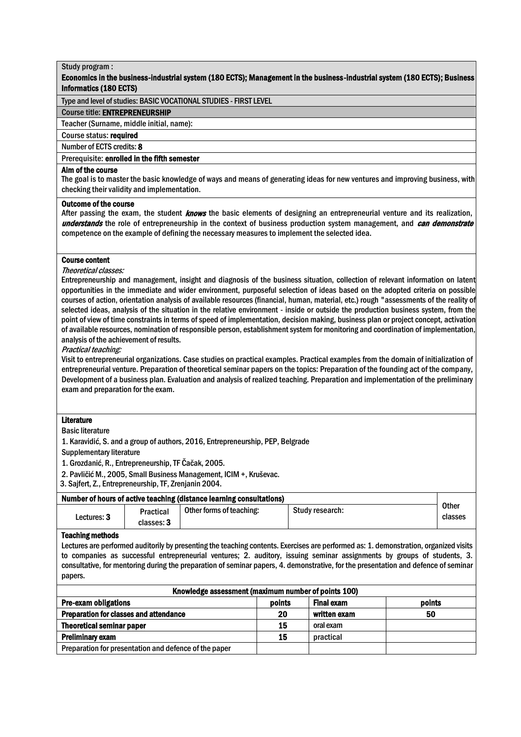# Economics in the business-industrial system (180 ECTS); Management in the business-industrial system (180 ECTS); Business Informatics (180 ECTS)

Type and level of studies: BASIC VOCATIONAL STUDIES - FIRST LEVEL

## Course title: ENTREPRENEURSHIP

Teacher (Surname, middle initial, name):

Course status: required

Number of ECTS credits: 8

# Prerequisite: enrolled in the fifth semester

#### Aim of the course

The goal is to master the basic knowledge of ways and means of generating ideas for new ventures and improving business, with checking their validity and implementation.

#### Outcome of the course

After passing the exam, the student *knows* the basic elements of designing an entrepreneurial venture and its realization, understands the role of entrepreneurship in the context of business production system management, and can demonstrate competence on the example of defining the necessary measures to implement the selected idea.

#### Course content

Theoretical classes:

Entrepreneurship and management, insight and diagnosis of the business situation, collection of relevant information on latent opportunities in the immediate and wider environment, purposeful selection of ideas based on the adopted criteria on possible courses of action, orientation analysis of available resources (financial, human, material, etc.) rough "assessments of the reality of selected ideas, analysis of the situation in the relative environment - inside or outside the production business system, from the point of view of time constraints in terms of speed of implementation, decision making, business plan or project concept, activation of available resources, nomination of responsible person, establishment system for monitoring and coordination of implementation, analysis of the achievement of results.

Practical teaching:

Visit to entrepreneurial organizations. Case studies on practical examples. Practical examples from the domain of initialization of entrepreneurial venture. Preparation of theoretical seminar papers on the topics: Preparation of the founding act of the company, Development of a business plan. Evaluation and analysis of realized teaching. Preparation and implementation of the preliminary exam and preparation for the exam.

#### Literature

Basic literature

1. Karavidić, S. and a group of authors, 2016, Entrepreneurship, PEP, Belgrade

Supplementary literature

1. Grozdanić, R., Entrepreneurship, TF Čačak, 2005.

2. Pavličić M., 2005, Small Business Management, ICIM +, Kruševac.

3. Sajfert, Z., Entrepreneurship, TF, Zrenjanin 2004.

| Number of hours of active teaching (distance learning consultations) |                         |                          |                        |                         |  |
|----------------------------------------------------------------------|-------------------------|--------------------------|------------------------|-------------------------|--|
| Lectures: 3                                                          | Practical<br>classes: 3 | Other forms of teaching: | <b>Study research:</b> | <b>Other</b><br>classes |  |

#### Teaching methods

Lectures are performed auditorily by presenting the teaching contents. Exercises are performed as: 1. demonstration, organized visits to companies as successful entrepreneurial ventures; 2. auditory, issuing seminar assignments by groups of students, 3. consultative, for mentoring during the preparation of seminar papers, 4. demonstrative, for the presentation and defence of seminar papers.

| Knowledge assessment (maximum number of points 100)   |        |                   |        |  |  |  |
|-------------------------------------------------------|--------|-------------------|--------|--|--|--|
| <b>Pre-exam obligations</b>                           | points | <b>Final exam</b> | points |  |  |  |
| <b>Preparation for classes and attendance</b>         | 20     | written exam      | 50     |  |  |  |
| <b>Theoretical seminar paper</b>                      | 15     | oral exam         |        |  |  |  |
| <b>Preliminary exam</b>                               | 15     | practical         |        |  |  |  |
| Preparation for presentation and defence of the paper |        |                   |        |  |  |  |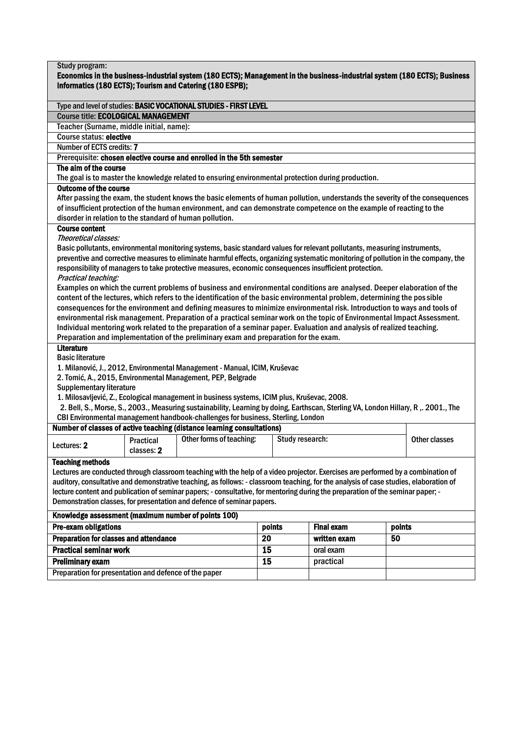| Study program:                                                                                                                                                                        |            |                                                                                                                                                                                                                                                     |                 |                   |        |               |  |  |
|---------------------------------------------------------------------------------------------------------------------------------------------------------------------------------------|------------|-----------------------------------------------------------------------------------------------------------------------------------------------------------------------------------------------------------------------------------------------------|-----------------|-------------------|--------|---------------|--|--|
|                                                                                                                                                                                       |            |                                                                                                                                                                                                                                                     |                 |                   |        |               |  |  |
| Economics in the business-industrial system (180 ECTS); Management in the business-industrial system (180 ECTS); Business<br>Informatics (180 ECTS); Tourism and Catering (180 ESPB); |            |                                                                                                                                                                                                                                                     |                 |                   |        |               |  |  |
|                                                                                                                                                                                       |            |                                                                                                                                                                                                                                                     |                 |                   |        |               |  |  |
| Type and level of studies: BASIC VOCATIONAL STUDIES - FIRST LEVEL                                                                                                                     |            |                                                                                                                                                                                                                                                     |                 |                   |        |               |  |  |
| <b>Course title: ECOLOGICAL MANAGEMENT</b>                                                                                                                                            |            |                                                                                                                                                                                                                                                     |                 |                   |        |               |  |  |
| Teacher (Surname, middle initial, name):                                                                                                                                              |            |                                                                                                                                                                                                                                                     |                 |                   |        |               |  |  |
| <b>Course status: elective</b>                                                                                                                                                        |            |                                                                                                                                                                                                                                                     |                 |                   |        |               |  |  |
| Number of ECTS credits: 7                                                                                                                                                             |            |                                                                                                                                                                                                                                                     |                 |                   |        |               |  |  |
| Prerequisite: chosen elective course and enrolled in the 5th semester                                                                                                                 |            |                                                                                                                                                                                                                                                     |                 |                   |        |               |  |  |
| The aim of the course                                                                                                                                                                 |            |                                                                                                                                                                                                                                                     |                 |                   |        |               |  |  |
|                                                                                                                                                                                       |            | The goal is to master the knowledge related to ensuring environmental protection during production.                                                                                                                                                 |                 |                   |        |               |  |  |
| <b>Outcome of the course</b>                                                                                                                                                          |            |                                                                                                                                                                                                                                                     |                 |                   |        |               |  |  |
|                                                                                                                                                                                       |            | After passing the exam, the student knows the basic elements of human pollution, understands the severity of the consequences                                                                                                                       |                 |                   |        |               |  |  |
|                                                                                                                                                                                       |            | of insufficient protection of the human environment, and can demonstrate competence on the example of reacting to the                                                                                                                               |                 |                   |        |               |  |  |
| disorder in relation to the standard of human pollution.                                                                                                                              |            |                                                                                                                                                                                                                                                     |                 |                   |        |               |  |  |
| <b>Course content</b>                                                                                                                                                                 |            |                                                                                                                                                                                                                                                     |                 |                   |        |               |  |  |
| Theoretical classes:                                                                                                                                                                  |            |                                                                                                                                                                                                                                                     |                 |                   |        |               |  |  |
|                                                                                                                                                                                       |            | Basic pollutants, environmental monitoring systems, basic standard values for relevant pollutants, measuring instruments,                                                                                                                           |                 |                   |        |               |  |  |
|                                                                                                                                                                                       |            | preventive and corrective measures to eliminate harmful effects, organizing systematic monitoring of pollution in the company, the                                                                                                                  |                 |                   |        |               |  |  |
|                                                                                                                                                                                       |            | responsibility of managers to take protective measures, economic consequences insufficient protection.                                                                                                                                              |                 |                   |        |               |  |  |
| Practical teaching:                                                                                                                                                                   |            |                                                                                                                                                                                                                                                     |                 |                   |        |               |  |  |
|                                                                                                                                                                                       |            | Examples on which the current problems of business and environmental conditions are analysed. Deeper elaboration of the                                                                                                                             |                 |                   |        |               |  |  |
|                                                                                                                                                                                       |            | content of the lectures, which refers to the identification of the basic environmental problem, determining the possible                                                                                                                            |                 |                   |        |               |  |  |
|                                                                                                                                                                                       |            | consequences for the environment and defining measures to minimize environmental risk. Introduction to ways and tools of<br>environmental risk management. Preparation of a practical seminar work on the topic of Environmental Impact Assessment. |                 |                   |        |               |  |  |
|                                                                                                                                                                                       |            | Individual mentoring work related to the preparation of a seminar paper. Evaluation and analysis of realized teaching.                                                                                                                              |                 |                   |        |               |  |  |
|                                                                                                                                                                                       |            | Preparation and implementation of the preliminary exam and preparation for the exam.                                                                                                                                                                |                 |                   |        |               |  |  |
| <b>Literature</b>                                                                                                                                                                     |            |                                                                                                                                                                                                                                                     |                 |                   |        |               |  |  |
| <b>Basic literature</b>                                                                                                                                                               |            |                                                                                                                                                                                                                                                     |                 |                   |        |               |  |  |
|                                                                                                                                                                                       |            | 1. Milanović, J., 2012, Environmental Management - Manual, ICIM, Kruševac                                                                                                                                                                           |                 |                   |        |               |  |  |
|                                                                                                                                                                                       |            | 2. Tomić, A., 2015, Environmental Management, PEP, Belgrade                                                                                                                                                                                         |                 |                   |        |               |  |  |
| <b>Supplementary literature</b>                                                                                                                                                       |            |                                                                                                                                                                                                                                                     |                 |                   |        |               |  |  |
|                                                                                                                                                                                       |            | 1. Milosavljević, Z., Ecological management in business systems, ICIM plus, Kruševac, 2008.                                                                                                                                                         |                 |                   |        |               |  |  |
|                                                                                                                                                                                       |            | 2. Bell, S., Morse, S., 2003., Measuring sustainability, Learning by doing, Earthscan, Sterling VA, London Hillary, R ,. 2001., The                                                                                                                 |                 |                   |        |               |  |  |
|                                                                                                                                                                                       |            | CBI Environmental management handbook-challenges for business, Sterling, London                                                                                                                                                                     |                 |                   |        |               |  |  |
|                                                                                                                                                                                       |            | Number of classes of active teaching (distance learning consultations)                                                                                                                                                                              |                 |                   |        |               |  |  |
|                                                                                                                                                                                       | Practical  | Other forms of teaching:                                                                                                                                                                                                                            | Study research: |                   |        | Other classes |  |  |
| Lectures: 2                                                                                                                                                                           | classes: 2 |                                                                                                                                                                                                                                                     |                 |                   |        |               |  |  |
| <b>Teaching methods</b>                                                                                                                                                               |            |                                                                                                                                                                                                                                                     |                 |                   |        |               |  |  |
|                                                                                                                                                                                       |            | Lectures are conducted through classroom teaching with the help of a video projector. Exercises are performed by a combination of                                                                                                                   |                 |                   |        |               |  |  |
|                                                                                                                                                                                       |            | auditory, consultative and demonstrative teaching, as follows: - classroom teaching, for the analysis of case studies, elaboration of                                                                                                               |                 |                   |        |               |  |  |
| lecture content and publication of seminar papers; - consultative, for mentoring during the preparation of the seminar paper; -                                                       |            |                                                                                                                                                                                                                                                     |                 |                   |        |               |  |  |
| Demonstration classes, for presentation and defence of seminar papers.                                                                                                                |            |                                                                                                                                                                                                                                                     |                 |                   |        |               |  |  |
| Knowledge assessment (maximum number of points 100)                                                                                                                                   |            |                                                                                                                                                                                                                                                     |                 |                   |        |               |  |  |
| <b>Pre-exam obligations</b>                                                                                                                                                           |            |                                                                                                                                                                                                                                                     | points          | <b>Final exam</b> | points |               |  |  |
| <b>Preparation for classes and attendance</b>                                                                                                                                         |            |                                                                                                                                                                                                                                                     | $\overline{20}$ | written exam      | 50     |               |  |  |
| <b>Practical seminar work</b>                                                                                                                                                         |            |                                                                                                                                                                                                                                                     | 15              | oral exam         |        |               |  |  |
| <b>Preliminary exam</b>                                                                                                                                                               |            |                                                                                                                                                                                                                                                     | $\overline{15}$ | practical         |        |               |  |  |
|                                                                                                                                                                                       |            |                                                                                                                                                                                                                                                     |                 |                   |        |               |  |  |
| Preparation for presentation and defence of the paper                                                                                                                                 |            |                                                                                                                                                                                                                                                     |                 |                   |        |               |  |  |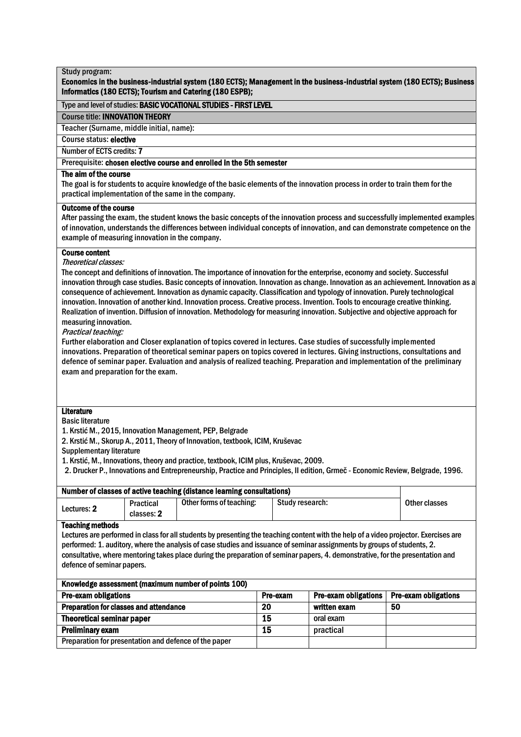# Economics in the business-industrial system (180 ECTS); Management in the business-industrial system (180 ECTS); Business Informatics (180 ECTS); Tourism and Catering (180 ESPB);

# Type and level of studies: BASIC VOCATIONAL STUDIES - FIRST LEVEL

### Course title: INNOVATION THEORY

Teacher (Surname, middle initial, name):

Course status: elective

Number of ECTS credits: 7

# Number of ECTS credits: 7<br>Prerequisite: **chosen elective course and enrolled in the 5th semester**

# The aim of the course

The goal is for students to acquire knowledge of the basic elements of the innovation process in order to train them for the practical implementation of the same in the company.

# Outcome of the course

After passing the exam, the student knows the basic concepts of the innovation process and successfully implemented examples of innovation, understands the differences between individual concepts of innovation, and can demonstrate competence on the example of measuring innovation in the company.

# Course content

Theoretical classes:

The concept and definitions of innovation. The importance of innovation for the enterprise, economy and society. Successful innovation through case studies. Basic concepts of innovation. Innovation as change. Innovation as an achievement. Innovation as a consequence of achievement. Innovation as dynamic capacity. Classification and typology of innovation. Purely technological innovation. Innovation of another kind. Innovation process. Creative process. Invention. Tools to encourage creative thinking. Realization of invention. Diffusion of innovation. Methodology for measuring innovation. Subjective and objective approach for measuring innovation.

Practical teaching:

Further elaboration and Closer explanation of topics covered in lectures. Case studies of successfully implemented innovations. Preparation of theoretical seminar papers on topics covered in lectures. Giving instructions, consultations and defence of seminar paper. Evaluation and analysis of realized teaching. Preparation and implementation of the preliminary exam and preparation for the exam.

# **Literature**

Basic literature

1. Krstić M., 2015, Innovation Management, PEP, Belgrade

2. Krstić M., Skorup A., 2011, Theory of Innovation, textbook, ICIM, Kruševac

Supplementary literature

1. Krstić, M., Innovations, theory and practice, textbook, ICIM plus, Kruševac, 2009.

2. Drucker P., Innovations and Entrepreneurship, Practice and Principles, II edition, Grmeč - Economic Review, Belgrade, 1996.

|                                                                                                        |                                                                                                                                                                                                                                                                                                                                                                                                                                                                                          | Number of classes of active teaching (distance learning consultations) |          |                             |                             |  |  |  |  |  |
|--------------------------------------------------------------------------------------------------------|------------------------------------------------------------------------------------------------------------------------------------------------------------------------------------------------------------------------------------------------------------------------------------------------------------------------------------------------------------------------------------------------------------------------------------------------------------------------------------------|------------------------------------------------------------------------|----------|-----------------------------|-----------------------------|--|--|--|--|--|
| Other forms of teaching:<br>Study research:<br>Other classes<br>Practical<br>Lectures: 2<br>classes: 2 |                                                                                                                                                                                                                                                                                                                                                                                                                                                                                          |                                                                        |          |                             |                             |  |  |  |  |  |
| Teaching methods                                                                                       | Lectures are performed in class for all students by presenting the teaching content with the help of a video projector. Exercises are<br>performed: 1. auditory, where the analysis of case studies and issuance of seminar assignments by groups of students, 2.<br>consultative, where mentoring takes place during the preparation of seminar papers, 4. demonstrative, for the presentation and<br>defence of seminar papers.<br>Knowledge assessment (maximum number of points 100) |                                                                        |          |                             |                             |  |  |  |  |  |
| <b>Pre-exam obligations</b>                                                                            |                                                                                                                                                                                                                                                                                                                                                                                                                                                                                          |                                                                        | Pre-exam | <b>Pre-exam obligations</b> | <b>Pre-exam obligations</b> |  |  |  |  |  |
| <b>Preparation for classes and attendance</b>                                                          |                                                                                                                                                                                                                                                                                                                                                                                                                                                                                          |                                                                        | 20       | written exam                | 50                          |  |  |  |  |  |
| <b>Theoretical seminar paper</b>                                                                       |                                                                                                                                                                                                                                                                                                                                                                                                                                                                                          |                                                                        | 15       | oral exam                   |                             |  |  |  |  |  |
| <b>Preliminary exam</b>                                                                                |                                                                                                                                                                                                                                                                                                                                                                                                                                                                                          |                                                                        | 15       | practical                   |                             |  |  |  |  |  |
| Preparation for presentation and defence of the paper                                                  |                                                                                                                                                                                                                                                                                                                                                                                                                                                                                          |                                                                        |          |                             |                             |  |  |  |  |  |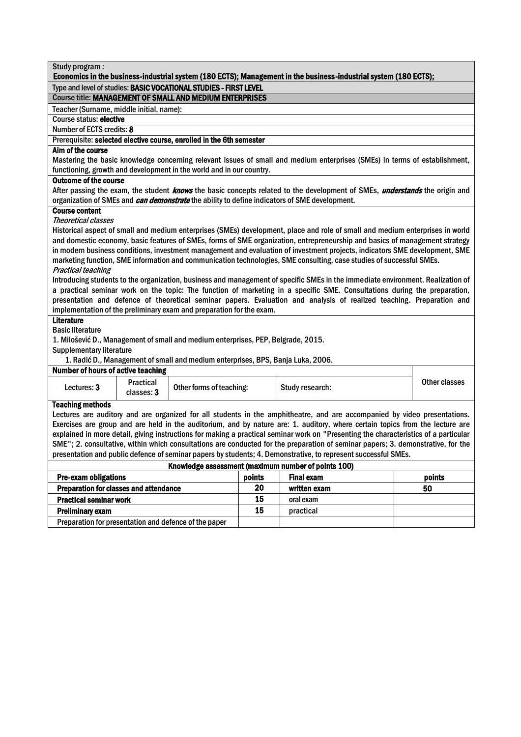| Type and level of studies: BASIC VOCATIONAL STUDIES - FIRST LEVEL                                                                                                                                                                          |  |  |  |  |  |
|--------------------------------------------------------------------------------------------------------------------------------------------------------------------------------------------------------------------------------------------|--|--|--|--|--|
| <b>Course title: MANAGEMENT OF SMALL AND MEDIUM ENTERPRISES</b>                                                                                                                                                                            |  |  |  |  |  |
| Teacher (Surname, middle initial, name):                                                                                                                                                                                                   |  |  |  |  |  |
| Course status: elective                                                                                                                                                                                                                    |  |  |  |  |  |
| Number of ECTS credits: 8                                                                                                                                                                                                                  |  |  |  |  |  |
| Prerequisite: selected elective course, enrolled in the 6th semester                                                                                                                                                                       |  |  |  |  |  |
| Aim of the course                                                                                                                                                                                                                          |  |  |  |  |  |
| Mastering the basic knowledge concerning relevant issues of small and medium enterprises (SMEs) in terms of establishment,                                                                                                                 |  |  |  |  |  |
| functioning, growth and development in the world and in our country.                                                                                                                                                                       |  |  |  |  |  |
| <b>Outcome of the course</b>                                                                                                                                                                                                               |  |  |  |  |  |
| After passing the exam, the student <i>knows</i> the basic concepts related to the development of SMEs, <i>understands</i> the origin and<br>organization of SMEs and can demonstrate the ability to define indicators of SME development. |  |  |  |  |  |
| <b>Course content</b>                                                                                                                                                                                                                      |  |  |  |  |  |
| Theoretical classes                                                                                                                                                                                                                        |  |  |  |  |  |
| Historical aspect of small and medium enterprises (SMEs) development, place and role of small and medium enterprises in world                                                                                                              |  |  |  |  |  |
| and domestic economy, basic features of SMEs, forms of SME organization, entrepreneurship and basics of management strategy                                                                                                                |  |  |  |  |  |
| in modern business conditions, investment management and evaluation of investment projects, indicators SME development, SME                                                                                                                |  |  |  |  |  |
| marketing function, SME information and communication technologies, SME consulting, case studies of successful SMEs.                                                                                                                       |  |  |  |  |  |
| <b>Practical teaching</b>                                                                                                                                                                                                                  |  |  |  |  |  |
| Introducing students to the organization, business and management of specific SMEs in the immediate environment. Realization of                                                                                                            |  |  |  |  |  |
| a practical seminar work on the topic: The function of marketing in a specific SME. Consultations during the preparation,                                                                                                                  |  |  |  |  |  |
| presentation and defence of theoretical seminar papers. Evaluation and analysis of realized teaching. Preparation and                                                                                                                      |  |  |  |  |  |
| implementation of the preliminary exam and preparation for the exam.<br><b>Literature</b>                                                                                                                                                  |  |  |  |  |  |
| <b>Basic literature</b>                                                                                                                                                                                                                    |  |  |  |  |  |
| 1. Milošević D., Management of small and medium enterprises, PEP, Belgrade, 2015.                                                                                                                                                          |  |  |  |  |  |
| <b>Supplementary literature</b>                                                                                                                                                                                                            |  |  |  |  |  |
| 1. Radić D., Management of small and medium enterprises, BPS, Banja Luka, 2006.                                                                                                                                                            |  |  |  |  |  |
| <b>Number of hours of active teaching</b>                                                                                                                                                                                                  |  |  |  |  |  |
| <b>Practical</b><br>Other classes                                                                                                                                                                                                          |  |  |  |  |  |
| Lectures: 3<br>Other forms of teaching:<br>Study research:<br>classes: 3                                                                                                                                                                   |  |  |  |  |  |
| <b>Teaching methods</b>                                                                                                                                                                                                                    |  |  |  |  |  |
| Lectures are auditory and are organized for all students in the amphitheatre, and are accompanied by video presentations.                                                                                                                  |  |  |  |  |  |
| Exercises are group and are held in the auditorium, and by nature are: 1. auditory, where certain topics from the lecture are                                                                                                              |  |  |  |  |  |
| explained in more detail, giving instructions for making a practical seminar work on "Presenting the characteristics of a particular                                                                                                       |  |  |  |  |  |
| SME"; 2. consultative, within which consultations are conducted for the preparation of seminar papers; 3. demonstrative, for the                                                                                                           |  |  |  |  |  |
| presentation and public defence of seminar papers by students; 4. Demonstrative, to represent successful SMEs.                                                                                                                             |  |  |  |  |  |
| Knowledge assessment (maximum number of points 100)                                                                                                                                                                                        |  |  |  |  |  |
| <b>Pre-exam obligations</b><br>points<br><b>Final exam</b><br>points                                                                                                                                                                       |  |  |  |  |  |
| 20<br>Preparation for classes and attendance<br>written exam<br>50                                                                                                                                                                         |  |  |  |  |  |
| 15<br><b>Practical seminar work</b><br>oral exam                                                                                                                                                                                           |  |  |  |  |  |
| 15<br><b>Preliminary exam</b><br>practical                                                                                                                                                                                                 |  |  |  |  |  |
| Preparation for presentation and defence of the paper                                                                                                                                                                                      |  |  |  |  |  |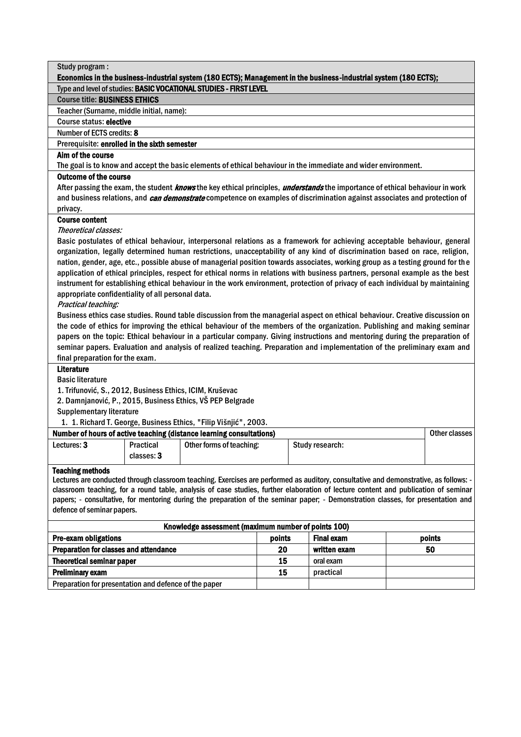| Study program:                                                                                                                                                                                                                                                         |                                                                                                                  |                                                                      |        |                                                                                                                |                                                                                                                                       |  |  |  |
|------------------------------------------------------------------------------------------------------------------------------------------------------------------------------------------------------------------------------------------------------------------------|------------------------------------------------------------------------------------------------------------------|----------------------------------------------------------------------|--------|----------------------------------------------------------------------------------------------------------------|---------------------------------------------------------------------------------------------------------------------------------------|--|--|--|
|                                                                                                                                                                                                                                                                        | Economics in the business-industrial system (180 ECTS); Management in the business-industrial system (180 ECTS); |                                                                      |        |                                                                                                                |                                                                                                                                       |  |  |  |
|                                                                                                                                                                                                                                                                        |                                                                                                                  | Type and level of studies: BASIC VOCATIONAL STUDIES - FIRST LEVEL    |        |                                                                                                                |                                                                                                                                       |  |  |  |
| <b>Course title: BUSINESS ETHICS</b>                                                                                                                                                                                                                                   |                                                                                                                  |                                                                      |        |                                                                                                                |                                                                                                                                       |  |  |  |
| Teacher (Surname, middle initial, name):                                                                                                                                                                                                                               |                                                                                                                  |                                                                      |        |                                                                                                                |                                                                                                                                       |  |  |  |
| Course status: elective                                                                                                                                                                                                                                                |                                                                                                                  |                                                                      |        |                                                                                                                |                                                                                                                                       |  |  |  |
| Number of ECTS credits: 8                                                                                                                                                                                                                                              |                                                                                                                  |                                                                      |        |                                                                                                                |                                                                                                                                       |  |  |  |
| Prerequisite: enrolled in the sixth semester                                                                                                                                                                                                                           |                                                                                                                  |                                                                      |        |                                                                                                                |                                                                                                                                       |  |  |  |
| Aim of the course                                                                                                                                                                                                                                                      |                                                                                                                  |                                                                      |        |                                                                                                                |                                                                                                                                       |  |  |  |
|                                                                                                                                                                                                                                                                        |                                                                                                                  |                                                                      |        | The goal is to know and accept the basic elements of ethical behaviour in the immediate and wider environment. |                                                                                                                                       |  |  |  |
| <b>Outcome of the course</b>                                                                                                                                                                                                                                           |                                                                                                                  |                                                                      |        |                                                                                                                |                                                                                                                                       |  |  |  |
|                                                                                                                                                                                                                                                                        |                                                                                                                  |                                                                      |        |                                                                                                                | After passing the exam, the student knows the key ethical principles, understands the importance of ethical behaviour in work         |  |  |  |
|                                                                                                                                                                                                                                                                        |                                                                                                                  |                                                                      |        |                                                                                                                | and business relations, and <i>can demonstrate</i> competence on examples of discrimination against associates and protection of      |  |  |  |
| privacy.                                                                                                                                                                                                                                                               |                                                                                                                  |                                                                      |        |                                                                                                                |                                                                                                                                       |  |  |  |
| <b>Course content</b>                                                                                                                                                                                                                                                  |                                                                                                                  |                                                                      |        |                                                                                                                |                                                                                                                                       |  |  |  |
| Theoretical classes:                                                                                                                                                                                                                                                   |                                                                                                                  |                                                                      |        |                                                                                                                |                                                                                                                                       |  |  |  |
|                                                                                                                                                                                                                                                                        |                                                                                                                  |                                                                      |        |                                                                                                                | Basic postulates of ethical behaviour, interpersonal relations as a framework for achieving acceptable behaviour, general             |  |  |  |
|                                                                                                                                                                                                                                                                        |                                                                                                                  |                                                                      |        |                                                                                                                | organization, legally determined human restrictions, unacceptability of any kind of discrimination based on race, religion,           |  |  |  |
|                                                                                                                                                                                                                                                                        |                                                                                                                  |                                                                      |        |                                                                                                                | nation, gender, age, etc., possible abuse of managerial position towards associates, working group as a testing ground for the        |  |  |  |
|                                                                                                                                                                                                                                                                        |                                                                                                                  |                                                                      |        |                                                                                                                | application of ethical principles, respect for ethical norms in relations with business partners, personal example as the best        |  |  |  |
|                                                                                                                                                                                                                                                                        |                                                                                                                  |                                                                      |        |                                                                                                                | instrument for establishing ethical behaviour in the work environment, protection of privacy of each individual by maintaining        |  |  |  |
| appropriate confidentiality of all personal data.                                                                                                                                                                                                                      |                                                                                                                  |                                                                      |        |                                                                                                                |                                                                                                                                       |  |  |  |
| Practical teaching:                                                                                                                                                                                                                                                    |                                                                                                                  |                                                                      |        |                                                                                                                |                                                                                                                                       |  |  |  |
|                                                                                                                                                                                                                                                                        |                                                                                                                  |                                                                      |        |                                                                                                                | Business ethics case studies. Round table discussion from the managerial aspect on ethical behaviour. Creative discussion on          |  |  |  |
|                                                                                                                                                                                                                                                                        |                                                                                                                  |                                                                      |        |                                                                                                                | the code of ethics for improving the ethical behaviour of the members of the organization. Publishing and making seminar              |  |  |  |
|                                                                                                                                                                                                                                                                        |                                                                                                                  |                                                                      |        |                                                                                                                | papers on the topic: Ethical behaviour in a particular company. Giving instructions and mentoring during the preparation of           |  |  |  |
|                                                                                                                                                                                                                                                                        |                                                                                                                  |                                                                      |        |                                                                                                                | seminar papers. Evaluation and analysis of realized teaching. Preparation and implementation of the preliminary exam and              |  |  |  |
| final preparation for the exam.                                                                                                                                                                                                                                        |                                                                                                                  |                                                                      |        |                                                                                                                |                                                                                                                                       |  |  |  |
| <b>Literature</b>                                                                                                                                                                                                                                                      |                                                                                                                  |                                                                      |        |                                                                                                                |                                                                                                                                       |  |  |  |
| <b>Basic literature</b>                                                                                                                                                                                                                                                |                                                                                                                  |                                                                      |        |                                                                                                                |                                                                                                                                       |  |  |  |
| 1. Trifunović, S., 2012, Business Ethics, ICIM, Kruševac                                                                                                                                                                                                               |                                                                                                                  |                                                                      |        |                                                                                                                |                                                                                                                                       |  |  |  |
|                                                                                                                                                                                                                                                                        |                                                                                                                  | 2. Damnjanović, P., 2015, Business Ethics, VŠ PEP Belgrade           |        |                                                                                                                |                                                                                                                                       |  |  |  |
| <b>Supplementary literature</b>                                                                                                                                                                                                                                        |                                                                                                                  |                                                                      |        |                                                                                                                |                                                                                                                                       |  |  |  |
|                                                                                                                                                                                                                                                                        |                                                                                                                  | 1. 1. Richard T. George, Business Ethics, "Filip Višnjić", 2003.     |        |                                                                                                                |                                                                                                                                       |  |  |  |
|                                                                                                                                                                                                                                                                        |                                                                                                                  | Number of hours of active teaching (distance learning consultations) |        |                                                                                                                | <b>Other classes</b>                                                                                                                  |  |  |  |
| Lectures: 3                                                                                                                                                                                                                                                            | Practical                                                                                                        | Other forms of teaching:                                             |        | Study research:                                                                                                |                                                                                                                                       |  |  |  |
|                                                                                                                                                                                                                                                                        | classes: 3                                                                                                       |                                                                      |        |                                                                                                                |                                                                                                                                       |  |  |  |
|                                                                                                                                                                                                                                                                        |                                                                                                                  |                                                                      |        |                                                                                                                |                                                                                                                                       |  |  |  |
| <b>Teaching methods</b>                                                                                                                                                                                                                                                |                                                                                                                  |                                                                      |        |                                                                                                                | Lectures are conducted through classroom teaching. Exercises are performed as auditory, consultative and demonstrative, as follows: - |  |  |  |
|                                                                                                                                                                                                                                                                        |                                                                                                                  |                                                                      |        |                                                                                                                |                                                                                                                                       |  |  |  |
| classroom teaching, for a round table, analysis of case studies, further elaboration of lecture content and publication of seminar<br>papers; - consultative, for mentoring during the preparation of the seminar paper; - Demonstration classes, for presentation and |                                                                                                                  |                                                                      |        |                                                                                                                |                                                                                                                                       |  |  |  |
| defence of seminar papers.                                                                                                                                                                                                                                             |                                                                                                                  |                                                                      |        |                                                                                                                |                                                                                                                                       |  |  |  |
|                                                                                                                                                                                                                                                                        |                                                                                                                  |                                                                      |        |                                                                                                                |                                                                                                                                       |  |  |  |
|                                                                                                                                                                                                                                                                        |                                                                                                                  | Knowledge assessment (maximum number of points 100)                  |        |                                                                                                                |                                                                                                                                       |  |  |  |
| Pre-exam obligations                                                                                                                                                                                                                                                   |                                                                                                                  |                                                                      | points | <b>Final exam</b>                                                                                              | points                                                                                                                                |  |  |  |
| Preparation for classes and attendance                                                                                                                                                                                                                                 |                                                                                                                  |                                                                      | 20     | written exam                                                                                                   | 50                                                                                                                                    |  |  |  |
| <b>Theoretical seminar paper</b>                                                                                                                                                                                                                                       |                                                                                                                  |                                                                      | 15     | oral exam                                                                                                      |                                                                                                                                       |  |  |  |
| <b>Preliminary exam</b>                                                                                                                                                                                                                                                |                                                                                                                  |                                                                      | 15     | practical                                                                                                      |                                                                                                                                       |  |  |  |

Preparation for presentation and defence of the paper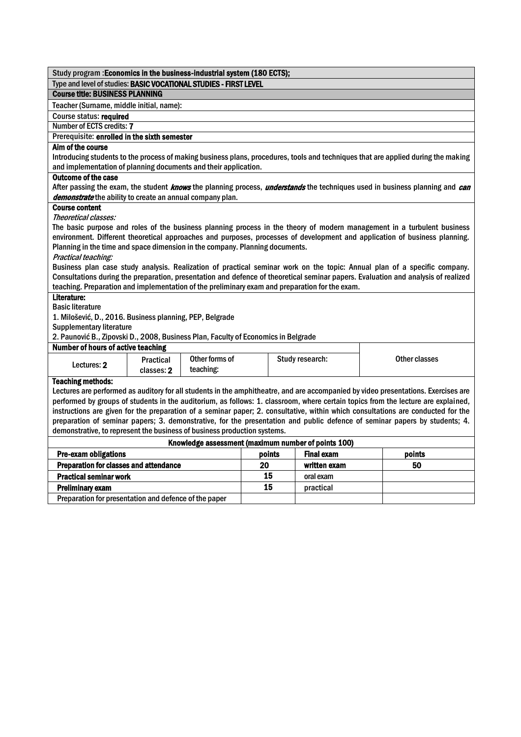|                                                                                                                                                                                                                                                                | Study program : Economics in the business-industrial system (180 ECTS); |                |        |  |                   |  |                                                                                                                                                                                                                                                                         |
|----------------------------------------------------------------------------------------------------------------------------------------------------------------------------------------------------------------------------------------------------------------|-------------------------------------------------------------------------|----------------|--------|--|-------------------|--|-------------------------------------------------------------------------------------------------------------------------------------------------------------------------------------------------------------------------------------------------------------------------|
| Type and level of studies: BASIC VOCATIONAL STUDIES - FIRST LEVEL                                                                                                                                                                                              |                                                                         |                |        |  |                   |  |                                                                                                                                                                                                                                                                         |
| <b>Course title: BUSINESS PLANNING</b>                                                                                                                                                                                                                         |                                                                         |                |        |  |                   |  |                                                                                                                                                                                                                                                                         |
| Teacher (Surname, middle initial, name):                                                                                                                                                                                                                       |                                                                         |                |        |  |                   |  |                                                                                                                                                                                                                                                                         |
| Course status: required                                                                                                                                                                                                                                        |                                                                         |                |        |  |                   |  |                                                                                                                                                                                                                                                                         |
| <b>Number of ECTS credits: 7</b>                                                                                                                                                                                                                               |                                                                         |                |        |  |                   |  |                                                                                                                                                                                                                                                                         |
| Prerequisite: enrolled in the sixth semester                                                                                                                                                                                                                   |                                                                         |                |        |  |                   |  |                                                                                                                                                                                                                                                                         |
| Aim of the course                                                                                                                                                                                                                                              |                                                                         |                |        |  |                   |  |                                                                                                                                                                                                                                                                         |
|                                                                                                                                                                                                                                                                |                                                                         |                |        |  |                   |  | Introducing students to the process of making business plans, procedures, tools and techniques that are applied during the making                                                                                                                                       |
| and implementation of planning documents and their application.                                                                                                                                                                                                |                                                                         |                |        |  |                   |  |                                                                                                                                                                                                                                                                         |
| <b>Outcome of the case</b>                                                                                                                                                                                                                                     |                                                                         |                |        |  |                   |  |                                                                                                                                                                                                                                                                         |
|                                                                                                                                                                                                                                                                |                                                                         |                |        |  |                   |  | After passing the exam, the student <i>knows</i> the planning process, <i>understands</i> the techniques used in business planning and <i>can</i>                                                                                                                       |
| demonstrate the ability to create an annual company plan.                                                                                                                                                                                                      |                                                                         |                |        |  |                   |  |                                                                                                                                                                                                                                                                         |
| <b>Course content</b><br>Theoretical classes:                                                                                                                                                                                                                  |                                                                         |                |        |  |                   |  |                                                                                                                                                                                                                                                                         |
|                                                                                                                                                                                                                                                                |                                                                         |                |        |  |                   |  | The basic purpose and roles of the business planning process in the theory of modern management in a turbulent business                                                                                                                                                 |
|                                                                                                                                                                                                                                                                |                                                                         |                |        |  |                   |  | environment. Different theoretical approaches and purposes, processes of development and application of business planning.                                                                                                                                              |
| Planning in the time and space dimension in the company. Planning documents.                                                                                                                                                                                   |                                                                         |                |        |  |                   |  |                                                                                                                                                                                                                                                                         |
| Practical teaching:                                                                                                                                                                                                                                            |                                                                         |                |        |  |                   |  |                                                                                                                                                                                                                                                                         |
|                                                                                                                                                                                                                                                                |                                                                         |                |        |  |                   |  | Business plan case study analysis. Realization of practical seminar work on the topic: Annual plan of a specific company.                                                                                                                                               |
|                                                                                                                                                                                                                                                                |                                                                         |                |        |  |                   |  | Consultations during the preparation, presentation and defence of theoretical seminar papers. Evaluation and analysis of realized                                                                                                                                       |
| teaching. Preparation and implementation of the preliminary exam and preparation for the exam.                                                                                                                                                                 |                                                                         |                |        |  |                   |  |                                                                                                                                                                                                                                                                         |
| Literature:                                                                                                                                                                                                                                                    |                                                                         |                |        |  |                   |  |                                                                                                                                                                                                                                                                         |
| <b>Basic literature</b>                                                                                                                                                                                                                                        |                                                                         |                |        |  |                   |  |                                                                                                                                                                                                                                                                         |
| 1. Milošević, D., 2016. Business planning, PEP, Belgrade                                                                                                                                                                                                       |                                                                         |                |        |  |                   |  |                                                                                                                                                                                                                                                                         |
| <b>Supplementary literature</b>                                                                                                                                                                                                                                |                                                                         |                |        |  |                   |  |                                                                                                                                                                                                                                                                         |
| 2. Paunović B., Zipovski D., 2008, Business Plan, Faculty of Economics in Belgrade<br><b>Number of hours of active teaching</b>                                                                                                                                |                                                                         |                |        |  |                   |  |                                                                                                                                                                                                                                                                         |
|                                                                                                                                                                                                                                                                |                                                                         | Other forms of |        |  |                   |  |                                                                                                                                                                                                                                                                         |
| Lectures: 2                                                                                                                                                                                                                                                    | <b>Practical</b>                                                        |                |        |  | Study research:   |  | <b>Other classes</b>                                                                                                                                                                                                                                                    |
|                                                                                                                                                                                                                                                                | classes: 2                                                              | teaching:      |        |  |                   |  |                                                                                                                                                                                                                                                                         |
| <b>Teaching methods:</b>                                                                                                                                                                                                                                       |                                                                         |                |        |  |                   |  |                                                                                                                                                                                                                                                                         |
|                                                                                                                                                                                                                                                                |                                                                         |                |        |  |                   |  | Lectures are performed as auditory for all students in the amphitheatre, and are accompanied by video presentations. Exercises are<br>performed by groups of students in the auditorium, as follows: 1. classroom, where certain topics from the lecture are explained, |
|                                                                                                                                                                                                                                                                |                                                                         |                |        |  |                   |  |                                                                                                                                                                                                                                                                         |
| instructions are given for the preparation of a seminar paper; 2. consultative, within which consultations are conducted for the<br>preparation of seminar papers; 3. demonstrative, for the presentation and public defence of seminar papers by students; 4. |                                                                         |                |        |  |                   |  |                                                                                                                                                                                                                                                                         |
| demonstrative, to represent the business of business production systems.                                                                                                                                                                                       |                                                                         |                |        |  |                   |  |                                                                                                                                                                                                                                                                         |
| Knowledge assessment (maximum number of points 100)                                                                                                                                                                                                            |                                                                         |                |        |  |                   |  |                                                                                                                                                                                                                                                                         |
| Pre-exam obligations                                                                                                                                                                                                                                           |                                                                         |                | points |  | <b>Final exam</b> |  | points                                                                                                                                                                                                                                                                  |
| Preparation for classes and attendance                                                                                                                                                                                                                         |                                                                         |                | 20     |  | written exam      |  | 50                                                                                                                                                                                                                                                                      |
| <b>Practical seminar work</b>                                                                                                                                                                                                                                  |                                                                         |                | 15     |  | oral exam         |  |                                                                                                                                                                                                                                                                         |
| <b>Preliminary exam</b>                                                                                                                                                                                                                                        | 15<br>practical                                                         |                |        |  |                   |  |                                                                                                                                                                                                                                                                         |
| Preparation for presentation and defence of the paper                                                                                                                                                                                                          |                                                                         |                |        |  |                   |  |                                                                                                                                                                                                                                                                         |